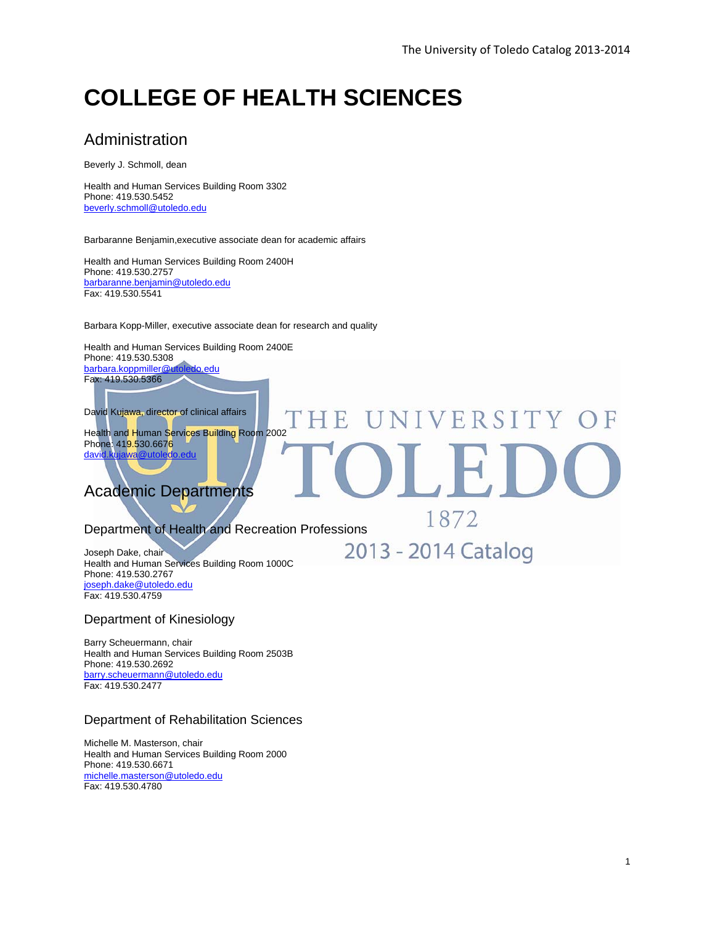VERSITY

1872

2013 - 2014 Catalog

# **COLLEGE OF HEALTH SCIENCES**

# Administration

Beverly J. Schmoll, dean

Health and Human Services Building Room 3302 Phone: 419.530.5452 beverly.schmoll@utoledo.edu

Barbaranne Benjamin,executive associate dean for academic affairs

Health and Human Services Building Room 2400H Phone: 419.530.2757 barbaranne.benjamin@utoledo.edu Fax: 419.530.5541

Barbara Kopp-Miller, executive associate dean for research and quality

F

Health and Human Services Building Room 2400E Phone: 419.530.5308 barbara.koppmiller@utoledo.edu Fax: 419.530.5366

David Kujawa, director of clinical affairs Health and Human Services Building Room 2002 Phone: 419.530.6676

david.kujawa

## Academic Departments

Department of Health and Recreation Professions

Joseph Dake, chair Health and Human Services Building Room 1000C Phone: 419.530.2767 joseph.dake@utoledo.edu Fax: 419.530.4759

#### Department of Kinesiology

Barry Scheuermann, chair Health and Human Services Building Room 2503B Phone: 419.530.2692 barry.scheuermann@utoledo.edu Fax: 419.530.2477

#### Department of Rehabilitation Sciences

Michelle M. Masterson, chair Health and Human Services Building Room 2000 Phone: 419.530.6671 michelle.masterson@utoledo.edu Fax: 419.530.4780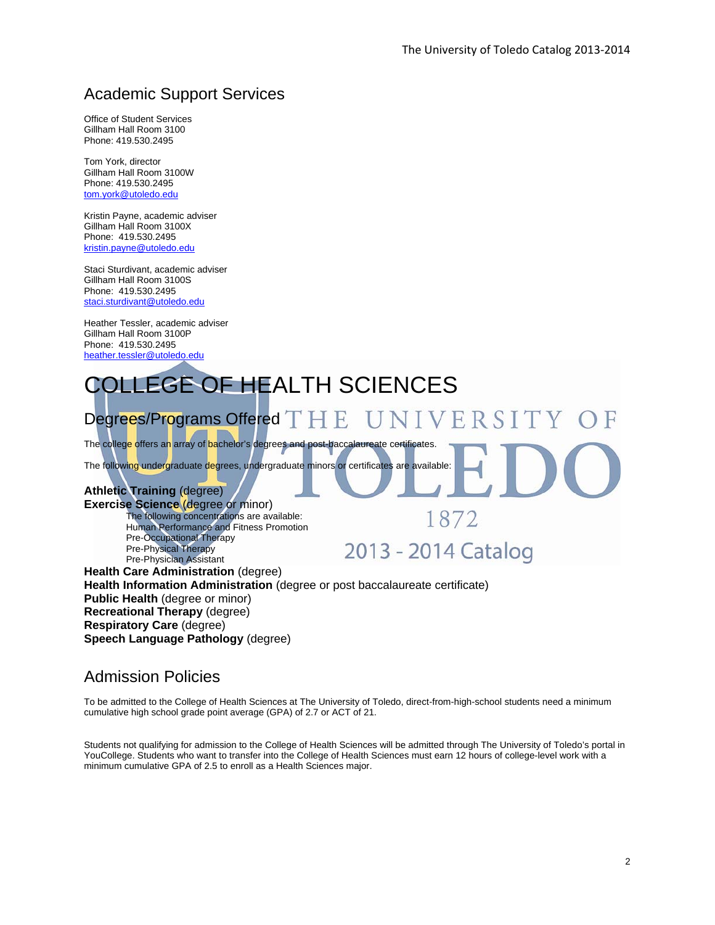### Academic Support Services

Office of Student Services Gillham Hall Room 3100 Phone: 419.530.2495

Tom York, director Gillham Hall Room 3100W Phone: 419.530.2495 tom.york@utoledo.edu

Kristin Payne, academic adviser Gillham Hall Room 3100X Phone: 419.530.2495 kristin.payne@utoledo.edu

Staci Sturdivant, academic adviser Gillham Hall Room 3100S Phone: 419.530.2495 staci.sturdivant@utoledo.edu

Heather Tessler, academic adviser Gillham Hall Room 3100P Phone: 419.530.2495 heather.tessler@utoledo.edu

# COLLEGE OF HEALTH SCIENCES

# Degrees/Programs Offered THE UNIVERSITY

The college offers an array of bachelor's degrees and post-baccalaureate certificates.

The following undergraduate degrees, undergraduate minors or certificates are available:

### **Athletic Training** (degree)

**Exercise Science** (degree or minor) The following concentrations are available: Human Performance and Fitness Promotion Pre-Occupational Therapy Pre-Physical Therapy Pre-Physician Assistant

2013 - 2014 Catalog

1872

**Health Care Administration** (degree) **Health Information Administration** (degree or post baccalaureate certificate) **Public Health** (degree or minor) **Recreational Therapy** (degree) **Respiratory Care** (degree) **Speech Language Pathology** (degree)

### Admission Policies

To be admitted to the College of Health Sciences at The University of Toledo, direct-from-high-school students need a minimum cumulative high school grade point average (GPA) of 2.7 or ACT of 21.

Students not qualifying for admission to the College of Health Sciences will be admitted through The University of Toledo's portal in YouCollege. Students who want to transfer into the College of Health Sciences must earn 12 hours of college-level work with a minimum cumulative GPA of 2.5 to enroll as a Health Sciences major.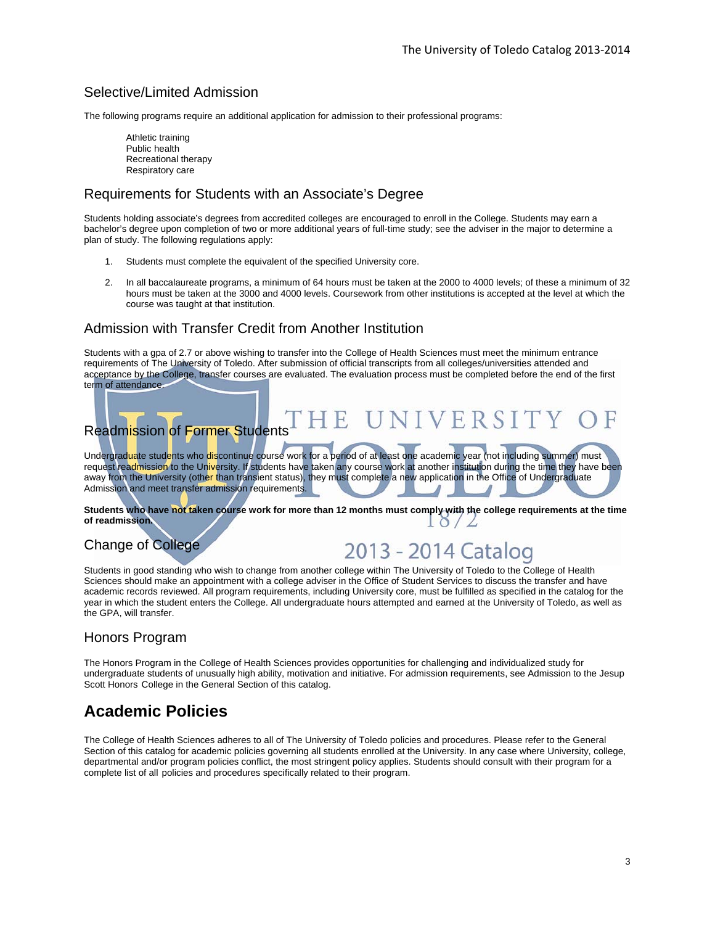### Selective/Limited Admission

The following programs require an additional application for admission to their professional programs:

 Athletic training Public health Recreational therapy Respiratory care

#### Requirements for Students with an Associate's Degree

Students holding associate's degrees from accredited colleges are encouraged to enroll in the College. Students may earn a bachelor's degree upon completion of two or more additional years of full-time study; see the adviser in the major to determine a plan of study. The following regulations apply:

- 1. Students must complete the equivalent of the specified University core.
- 2. In all baccalaureate programs, a minimum of 64 hours must be taken at the 2000 to 4000 levels; of these a minimum of 32 hours must be taken at the 3000 and 4000 levels. Coursework from other institutions is accepted at the level at which the course was taught at that institution.

### Admission with Transfer Credit from Another Institution

Students with a gpa of 2.7 or above wishing to transfer into the College of Health Sciences must meet the minimum entrance requirements of The University of Toledo. After submission of official transcripts from all colleges/universities attended and acceptance by the College, transfer courses are evaluated. The evaluation process must be completed before the end of the first term of attendance.

#### NIVERSITY F. Readmission of Former Students

Undergraduate students who discontinue course work for a period of at least one academic year (not including summer) must request readmission to the University. If students have taken any course work at another institution during the time they have been away from the University (other than transient status), they must complete a new application in the Office of Undergraduate Admission and meet transfer admission requirements.

**Students who have not taken course work for more than 12 months must comply with the college requirements at the time of readmission.**  $O/$ 

### Change of College

# 2013 - 2014 Catalog

Students in good standing who wish to change from another college within The University of Toledo to the College of Health Sciences should make an appointment with a college adviser in the Office of Student Services to discuss the transfer and have academic records reviewed. All program requirements, including University core, must be fulfilled as specified in the catalog for the year in which the student enters the College. All undergraduate hours attempted and earned at the University of Toledo, as well as the GPA, will transfer.

### Honors Program

The Honors Program in the College of Health Sciences provides opportunities for challenging and individualized study for undergraduate students of unusually high ability, motivation and initiative. For admission requirements, see Admission to the Jesup Scott Honors College in the General Section of this catalog.

## **Academic Policies**

The College of Health Sciences adheres to all of The University of Toledo policies and procedures. Please refer to the General Section of this catalog for academic policies governing all students enrolled at the University. In any case where University, college, departmental and/or program policies conflict, the most stringent policy applies. Students should consult with their program for a complete list of all policies and procedures specifically related to their program.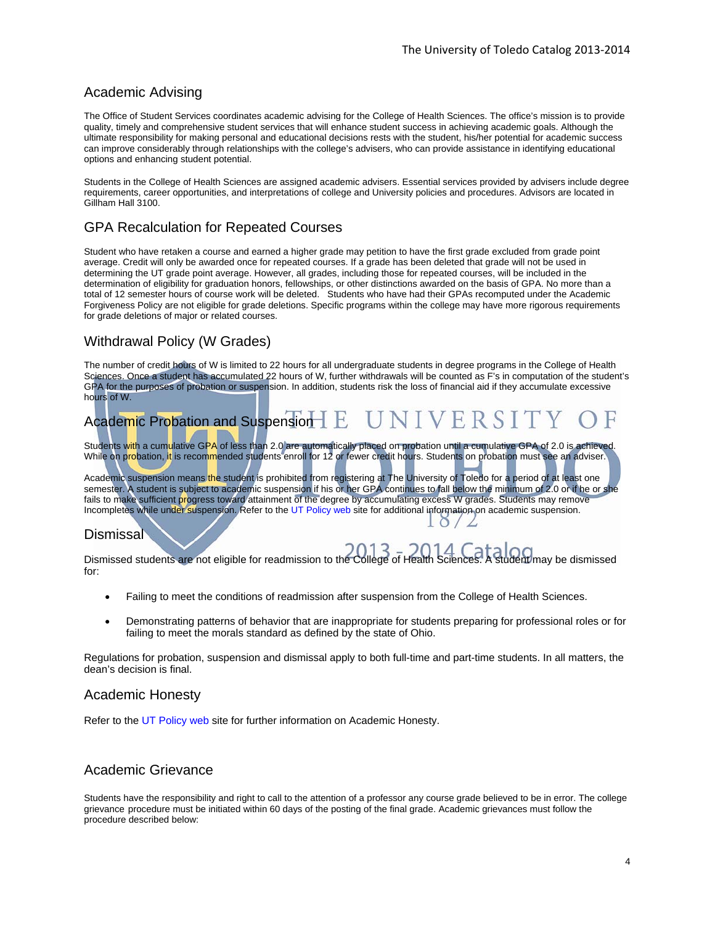### Academic Advising

The Office of Student Services coordinates academic advising for the College of Health Sciences. The office's mission is to provide quality, timely and comprehensive student services that will enhance student success in achieving academic goals. Although the ultimate responsibility for making personal and educational decisions rests with the student, his/her potential for academic success can improve considerably through relationships with the college's advisers, who can provide assistance in identifying educational options and enhancing student potential.

Students in the College of Health Sciences are assigned academic advisers. Essential services provided by advisers include degree requirements, career opportunities, and interpretations of college and University policies and procedures. Advisors are located in Gillham Hall 3100.

### GPA Recalculation for Repeated Courses

Student who have retaken a course and earned a higher grade may petition to have the first grade excluded from grade point average. Credit will only be awarded once for repeated courses. If a grade has been deleted that grade will not be used in determining the UT grade point average. However, all grades, including those for repeated courses, will be included in the determination of eligibility for graduation honors, fellowships, or other distinctions awarded on the basis of GPA. No more than a total of 12 semester hours of course work will be deleted. Students who have had their GPAs recomputed under the Academic Forgiveness Policy are not eligible for grade deletions. Specific programs within the college may have more rigorous requirements for grade deletions of major or related courses.

### Withdrawal Policy (W Grades)

The number of credit hours of W is limited to 22 hours for all undergraduate students in degree programs in the College of Health Sciences. Once a student has accumulated 22 hours of W, further withdrawals will be counted as F's in computation of the student's GPA for the purposes of probation or suspension. In addition, students risk the loss of financial aid if they accumulate excessive hours of W.

#### Academic Probation and Suspension E H. R S

Students with a cumulative GPA of less than 2.0 are automatically placed on probation until a cumulative GPA of 2.0 is achieved. While on probation, it is recommended students enroll for 12 or fewer credit hours. Students on probation must see an adviser

Academic suspension means the student is prohibited from registering at The University of Toledo for a period of at least one semester. A student is subject to academic suspension if his or her GPA continues to fall below the minimum of 2.0 or if he or she fails to make sufficient progress toward attainment of the degree by accumulating excess W grades. Students may remove Incompletes while under suspension. Refer to the UT Policy web site for additional information on academic suspension.

#### Dismissal

Dismissed students are not eligible for readmission to the College of Health Sciences. A student may be dismissed for:

- Failing to meet the conditions of readmission after suspension from the College of Health Sciences.
- Demonstrating patterns of behavior that are inappropriate for students preparing for professional roles or for failing to meet the morals standard as defined by the state of Ohio.

 $\Omega$ 

Regulations for probation, suspension and dismissal apply to both full-time and part-time students. In all matters, the dean's decision is final.

#### Academic Honesty

Refer to the UT Policy web site for further information on Academic Honesty.

### Academic Grievance

Students have the responsibility and right to call to the attention of a professor any course grade believed to be in error. The college grievance procedure must be initiated within 60 days of the posting of the final grade. Academic grievances must follow the procedure described below: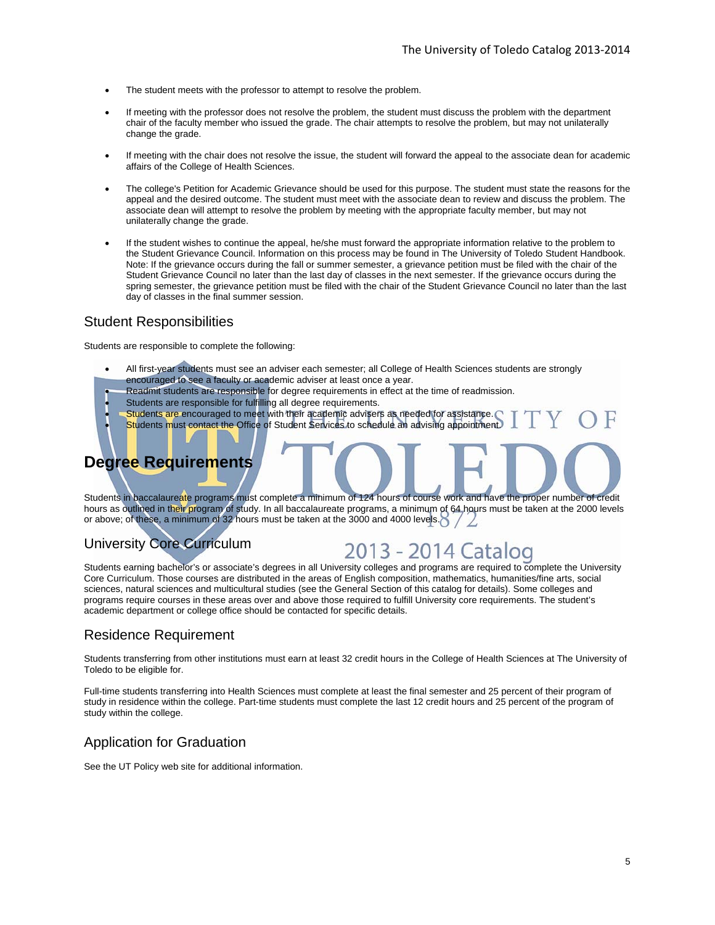- The student meets with the professor to attempt to resolve the problem.
- If meeting with the professor does not resolve the problem, the student must discuss the problem with the department chair of the faculty member who issued the grade. The chair attempts to resolve the problem, but may not unilaterally change the grade.
- If meeting with the chair does not resolve the issue, the student will forward the appeal to the associate dean for academic affairs of the College of Health Sciences.
- The college's Petition for Academic Grievance should be used for this purpose. The student must state the reasons for the appeal and the desired outcome. The student must meet with the associate dean to review and discuss the problem. The associate dean will attempt to resolve the problem by meeting with the appropriate faculty member, but may not unilaterally change the grade.
- If the student wishes to continue the appeal, he/she must forward the appropriate information relative to the problem to the Student Grievance Council. Information on this process may be found in The University of Toledo Student Handbook. Note: If the grievance occurs during the fall or summer semester, a grievance petition must be filed with the chair of the Student Grievance Council no later than the last day of classes in the next semester. If the grievance occurs during the spring semester, the grievance petition must be filed with the chair of the Student Grievance Council no later than the last day of classes in the final summer session.

### Student Responsibilities

Students are responsible to complete the following:

- All first-year students must see an adviser each semester; all College of Health Sciences students are strongly encouraged to see a faculty or academic adviser at least once a year.
- Readmit students are responsible for degree requirements in effect at the time of readmission.
- Students are responsible for fulfilling all degree requirements.
- Students are encouraged to meet with their academic advisers as needed for assistance.
- **Students must contact the Office of Student Services to schedule an advising appointment.**

# **Degree Requirements**

Students in baccalaureate programs must complete a minimum of 124 hours of course work and have the proper number of credit hours as outlined in their program of study. In all baccalaureate programs, a minimum of 64 hours must be taken at the 2000 levels or above; of these, a minimum of 32 hours must be taken at the 3000 and 4000 levels.

### University Core Curriculum



Students earning bachelor's or associate's degrees in all University colleges and programs are required to complete the University Core Curriculum. Those courses are distributed in the areas of English composition, mathematics, humanities/fine arts, social sciences, natural sciences and multicultural studies (see the General Section of this catalog for details). Some colleges and programs require courses in these areas over and above those required to fulfill University core requirements. The student's academic department or college office should be contacted for specific details.

### Residence Requirement

Students transferring from other institutions must earn at least 32 credit hours in the College of Health Sciences at The University of Toledo to be eligible for.

Full-time students transferring into Health Sciences must complete at least the final semester and 25 percent of their program of study in residence within the college. Part-time students must complete the last 12 credit hours and 25 percent of the program of study within the college.

### Application for Graduation

See the UT Policy web site for additional information.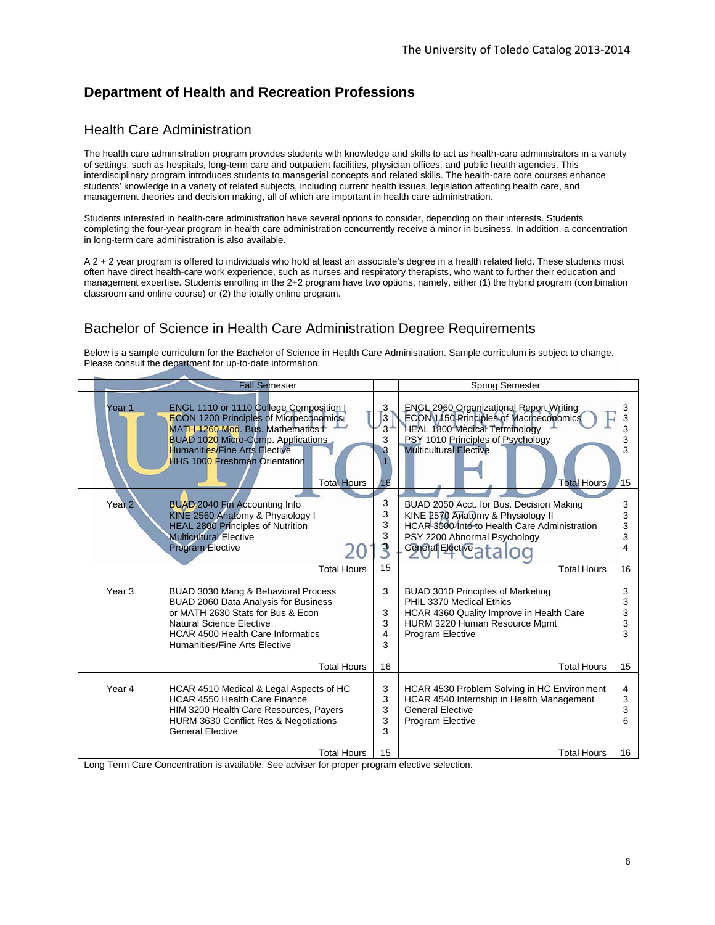### **Department of Health and Recreation Professions**

### Health Care Administration

The health care administration program provides students with knowledge and skills to act as health-care administrators in a variety of settings, such as hospitals, long-term care and outpatient facilities, physician offices, and public health agencies. This interdisciplinary program introduces students to managerial concepts and related skills. The health-care core courses enhance students' knowledge in a variety of related subjects, including current health issues, legislation affecting health care, and management theories and decision making, all of which are important in health care administration.

Students interested in health-care administration have several options to consider, depending on their interests. Students completing the four-year program in health care administration concurrently receive a minor in business. In addition, a concentration in long-term care administration is also available.

A 2 + 2 year program is offered to individuals who hold at least an associate's degree in a health related field. These students most often have direct health-care work experience, such as nurses and respiratory therapists, who want to further their education and management expertise. Students enrolling in the 2+2 program have two options, namely, either (1) the hybrid program (combination classroom and online course) or (2) the totally online program.

### Bachelor of Science in Health Care Administration Degree Requirements

Below is a sample curriculum for the Bachelor of Science in Health Care Administration. Sample curriculum is subject to change. Please consult the department for up-to-date information.

|                   | <b>Fall Semester</b>                                                                                                                                                                                                                                                      |                                       | <b>Spring Semester</b>                                                                                                                                                                                                              |                             |
|-------------------|---------------------------------------------------------------------------------------------------------------------------------------------------------------------------------------------------------------------------------------------------------------------------|---------------------------------------|-------------------------------------------------------------------------------------------------------------------------------------------------------------------------------------------------------------------------------------|-----------------------------|
| Year <sub>1</sub> | ENGL 1110 or 1110 College Composition I<br><b>ECON 1200 Principles of Microeconomics</b><br>MATH 1260 Mod. Bus. Mathematics 1<br>BUAD 1020 Micro-Comp. Applications<br><b>Humanities/Fine Arts Elective</b><br><b>HHS 1000 Freshman Orientation</b><br><b>Total Hours</b> | 3<br>3<br>$3^{\circ}$<br>3<br>3<br>16 | <b>ENGL 2960 Organizational Report Writing</b><br><b>ECON 1150 Principles of Macroeconomics</b><br><b>HEAL 1800 Medical Terminology</b><br>PSY 1010 Principles of Psychology<br><b>Multicultural Elective</b><br><b>Total Hours</b> | 3<br>3<br>3<br>3<br>3<br>15 |
| Year <sub>2</sub> | <b>BUAD 2040 Fin Accounting Info</b><br>KINE 2560 Anatomy & Physiology I<br><b>HEAL 2800 Principles of Nutrition</b><br><b>Multicultural Elective</b><br><b>Program Elective</b><br><b>Total Hours</b>                                                                    | 3<br>3<br>3<br>3<br>э<br>15           | BUAD 2050 Acct. for Bus. Decision Making<br>KINE 2570 Anatomy & Physiology II<br>HCAR 3000/Into to Health Care Administration<br>PSY 2200 Abnormal Psychology<br>General Elective<br><b>Total Hours</b>                             | 3<br>3<br>3<br>3<br>4<br>16 |
| Year <sub>3</sub> | BUAD 3030 Mang & Behavioral Process<br>BUAD 2060 Data Analysis for Business<br>or MATH 2630 Stats for Bus & Econ<br>Natural Science Elective<br><b>HCAR 4500 Health Care Informatics</b><br>Humanities/Fine Arts Elective<br><b>Total Hours</b>                           | 3<br>3<br>3<br>4<br>3<br>16           | BUAD 3010 Principles of Marketing<br>PHIL 3370 Medical Ethics<br>HCAR 4360 Quality Improve in Health Care<br>HURM 3220 Human Resource Mgmt<br>Program Elective<br><b>Total Hours</b>                                                | 3<br>3<br>3<br>3<br>3<br>15 |
| Year 4            | HCAR 4510 Medical & Legal Aspects of HC<br><b>HCAR 4550 Health Care Finance</b><br>HIM 3200 Health Care Resources, Payers<br>HURM 3630 Conflict Res & Negotiations<br><b>General Elective</b><br><b>Total Hours</b>                                                       | 3<br>3<br>3<br>3<br>3<br>15           | HCAR 4530 Problem Solving in HC Environment<br>HCAR 4540 Internship in Health Management<br><b>General Elective</b><br><b>Program Elective</b><br><b>Total Hours</b>                                                                | 4<br>3<br>3<br>6<br>16      |

Long Term Care Concentration is available. See adviser for proper program elective selection.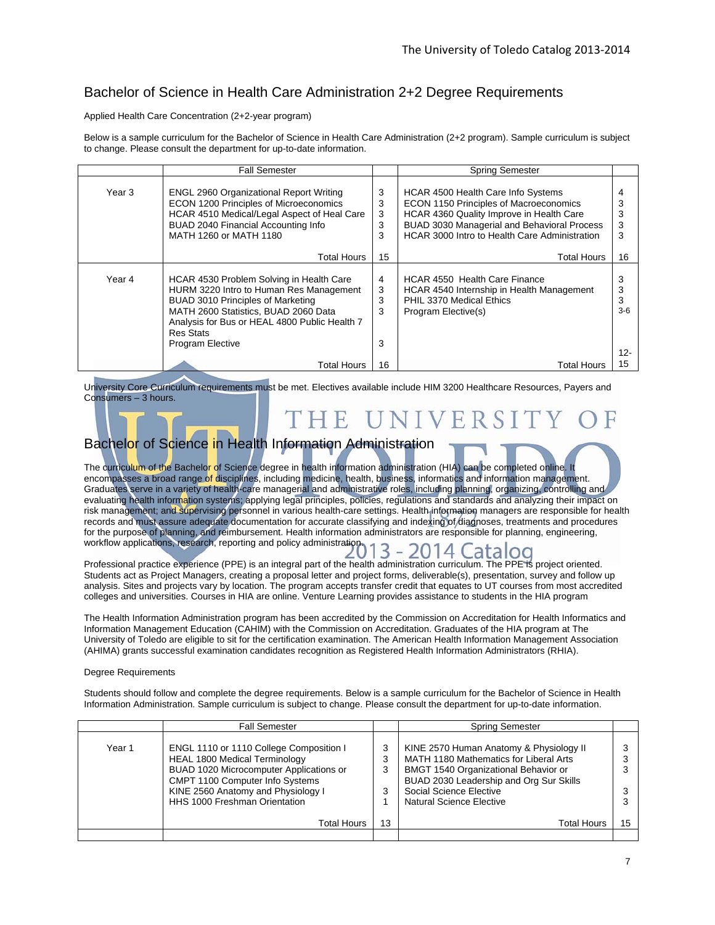### Bachelor of Science in Health Care Administration 2+2 Degree Requirements

Applied Health Care Concentration (2+2-year program)

Below is a sample curriculum for the Bachelor of Science in Health Care Administration (2+2 program). Sample curriculum is subject to change. Please consult the department for up-to-date information.

|        | <b>Fall Semester</b>                                                                                                                                                                                                                                             |                       | <b>Spring Semester</b>                                                                                                                                                                                                                 |                                |
|--------|------------------------------------------------------------------------------------------------------------------------------------------------------------------------------------------------------------------------------------------------------------------|-----------------------|----------------------------------------------------------------------------------------------------------------------------------------------------------------------------------------------------------------------------------------|--------------------------------|
| Year 3 | <b>ENGL 2960 Organizational Report Writing</b><br><b>ECON 1200 Principles of Microeconomics</b><br>HCAR 4510 Medical/Legal Aspect of Heal Care<br>BUAD 2040 Financial Accounting Info<br>MATH 1260 or MATH 1180                                                  | 3<br>3<br>3<br>3<br>3 | HCAR 4500 Health Care Info Systems<br><b>ECON 1150 Principles of Macroeconomics</b><br>HCAR 4360 Quality Improve in Health Care<br><b>BUAD 3030 Managerial and Behavioral Process</b><br>HCAR 3000 Intro to Health Care Administration | 4<br>3<br>3<br>3<br>3          |
|        | <b>Total Hours</b>                                                                                                                                                                                                                                               | 15                    | Total Hours                                                                                                                                                                                                                            | 16                             |
| Year 4 | HCAR 4530 Problem Solving in Health Care<br>HURM 3220 Intro to Human Res Management<br>BUAD 3010 Principles of Marketing<br>MATH 2600 Statistics. BUAD 2060 Data<br>Analysis for Bus or HEAL 4800 Public Health 7<br><b>Res Stats</b><br><b>Program Elective</b> | 4<br>3<br>3<br>3<br>3 | <b>HCAR 4550 Health Care Finance</b><br>HCAR 4540 Internship in Health Management<br>PHIL 3370 Medical Ethics<br>Program Elective(s)                                                                                                   | 3<br>3<br>3<br>$3-6$<br>$12 -$ |
|        | Total Hours                                                                                                                                                                                                                                                      | 16                    | Total Hours                                                                                                                                                                                                                            | 15                             |

University Core Curriculum requirements must be met. Electives available include HIM 3200 Healthcare Resources, Payers and Consumers – 3 hours.

# THE UNIVERSI

Bachelor of Science in Health Information Administration

The curriculum of the Bachelor of Science degree in health information administration (HIA) can be completed online. It encompasses a broad range of disciplines, including medicine, health, business, informatics and information management. Graduates serve in a variety of health-care managerial and administrative roles, including planning, organizing, controlling and evaluating health information systems; applying legal principles, policies, regulations and standards and analyzing their impact on risk management; and supervising personnel in various health-care settings. Health information managers are responsible for health records and must assure adequate documentation for accurate classifying and indexing of diagnoses, treatments and procedures for the purpose of planning, and reimbursement. Health information administrators are responsible for planning, engineering, workflow applications, research, reporting and policy administration. 13 - 2014 Catalog

Professional practice experience (PPE) is an integral part of the health administration curriculum. The PPE is project oriented. Students act as Project Managers, creating a proposal letter and project forms, deliverable(s), presentation, survey and follow up analysis. Sites and projects vary by location. The program accepts transfer credit that equates to UT courses from most accredited colleges and universities. Courses in HIA are online. Venture Learning provides assistance to students in the HIA program

The Health Information Administration program has been accredited by the Commission on Accreditation for Health Informatics and Information Management Education (CAHIM) with the Commission on Accreditation. Graduates of the HIA program at The University of Toledo are eligible to sit for the certification examination. The American Health Information Management Association (AHIMA) grants successful examination candidates recognition as Registered Health Information Administrators (RHIA).

Degree Requirements

Students should follow and complete the degree requirements. Below is a sample curriculum for the Bachelor of Science in Health Information Administration. Sample curriculum is subject to change. Please consult the department for up-to-date information.

|        | <b>Fall Semester</b>                                                                                                                                                                                                                 |                  | <b>Spring Semester</b>                                                                                                                                                                                                      |    |
|--------|--------------------------------------------------------------------------------------------------------------------------------------------------------------------------------------------------------------------------------------|------------------|-----------------------------------------------------------------------------------------------------------------------------------------------------------------------------------------------------------------------------|----|
| Year 1 | ENGL 1110 or 1110 College Composition I<br>HEAL 1800 Medical Terminology<br>BUAD 1020 Microcomputer Applications or<br><b>CMPT 1100 Computer Info Systems</b><br>KINE 2560 Anatomy and Physiology I<br>HHS 1000 Freshman Orientation | 3<br>3<br>3<br>3 | KINE 2570 Human Anatomy & Physiology II<br>MATH 1180 Mathematics for Liberal Arts<br>BMGT 1540 Organizational Behavior or<br>BUAD 2030 Leadership and Org Sur Skills<br>Social Science Elective<br>Natural Science Elective |    |
|        | Total Hours                                                                                                                                                                                                                          | 13               | Total Hours                                                                                                                                                                                                                 | 15 |
|        |                                                                                                                                                                                                                                      |                  |                                                                                                                                                                                                                             |    |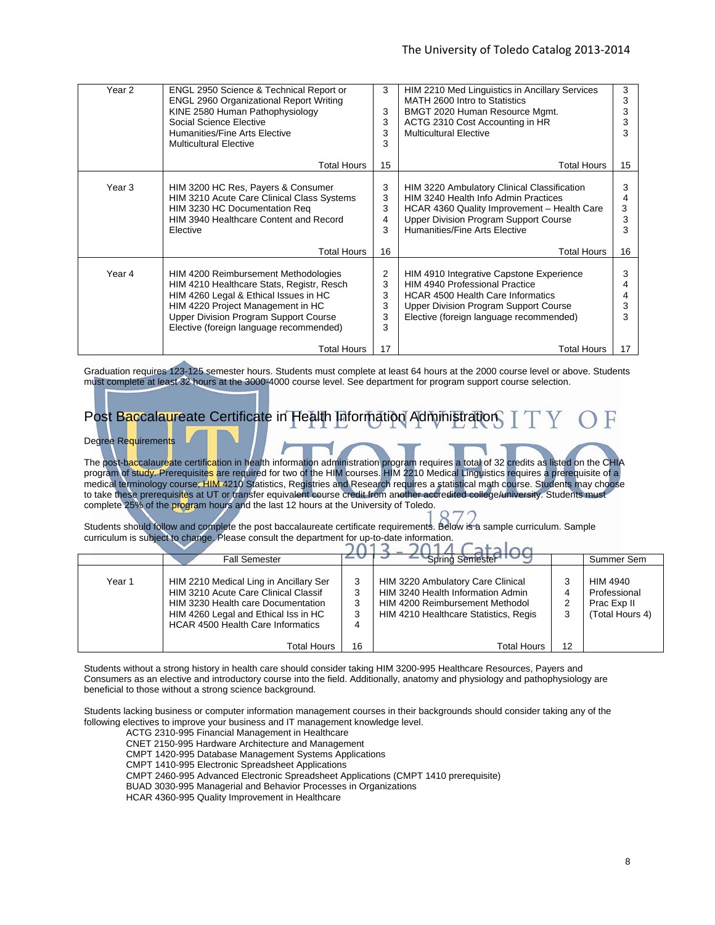| Year <sub>2</sub> | ENGL 2950 Science & Technical Report or<br><b>ENGL 2960 Organizational Report Writing</b><br>KINE 2580 Human Pathophysiology<br>Social Science Elective<br>Humanities/Fine Arts Elective<br><b>Multicultural Elective</b>                                  | 3<br>3<br>3<br>3<br>3      | HIM 2210 Med Linguistics in Ancillary Services<br>MATH 2600 Intro to Statistics<br>BMGT 2020 Human Resource Mgmt.<br>ACTG 2310 Cost Accounting in HR<br><b>Multicultural Elective</b>                                    | 3  |
|-------------------|------------------------------------------------------------------------------------------------------------------------------------------------------------------------------------------------------------------------------------------------------------|----------------------------|--------------------------------------------------------------------------------------------------------------------------------------------------------------------------------------------------------------------------|----|
|                   | Total Hours                                                                                                                                                                                                                                                | 15                         | Total Hours                                                                                                                                                                                                              | 15 |
| Year 3            | HIM 3200 HC Res, Payers & Consumer<br>HIM 3210 Acute Care Clinical Class Systems<br>HIM 3230 HC Documentation Reg<br>HIM 3940 Healthcare Content and Record<br>Elective                                                                                    | 3<br>3<br>3<br>4<br>3      | HIM 3220 Ambulatory Clinical Classification<br>HIM 3240 Health Info Admin Practices<br>HCAR 4360 Quality Improvement - Health Care<br><b>Upper Division Program Support Course</b><br>Humanities/Fine Arts Elective      | 3  |
|                   | <b>Total Hours</b>                                                                                                                                                                                                                                         | 16                         | <b>Total Hours</b>                                                                                                                                                                                                       | 16 |
| Year 4            | HIM 4200 Reimbursement Methodologies<br>HIM 4210 Healthcare Stats, Registr, Resch<br>HIM 4260 Legal & Ethical Issues in HC<br>HIM 4220 Project Management in HC<br><b>Upper Division Program Support Course</b><br>Elective (foreign language recommended) | 2<br>3<br>3<br>3<br>3<br>3 | HIM 4910 Integrative Capstone Experience<br><b>HIM 4940 Professional Practice</b><br><b>HCAR 4500 Health Care Informatics</b><br><b>Upper Division Program Support Course</b><br>Elective (foreign language recommended) |    |
|                   | Total Hours                                                                                                                                                                                                                                                | 17                         | Total Hours                                                                                                                                                                                                              | 17 |

Graduation requires 123-125 semester hours. Students must complete at least 64 hours at the 2000 course level or above. Students must complete at least 32 hours at the 3000-4000 course level. See department for program support course selection.

### Post Baccalaureate Certificate in Health Information Administration F

#### Degree Requirements

The post-baccalaureate certifi<mark>ca</mark>tion in health information administration program requires a total of 32 credits as listed on the CHIA program of study. Prerequisites are required for two of the HIM courses. HIM 2210 Medical Linguistics requires a prerequisite of a medical terminology course; HIM 4210 Statistics, Registries and Research requires a statistical math course. Students may choose to take these prerequisites at UT or transfer equivalent course credit from another accredited college/university. Students must complete 25% of the program hours and the last 12 hours at the University of Toledo.

Students should follow and complete the post baccalaureate certificate requirements. Below is a sample curriculum. Sample curriculum is subject to change. Please consult the department for up-to-date information. J.

|        | <b>Fall Semester</b>                                                                                                                                                                                     |                       | <b>Spring Semester</b>                                                                                                                             |             | Summer Sem                                                 |
|--------|----------------------------------------------------------------------------------------------------------------------------------------------------------------------------------------------------------|-----------------------|----------------------------------------------------------------------------------------------------------------------------------------------------|-------------|------------------------------------------------------------|
| Year 1 | HIM 2210 Medical Ling in Ancillary Ser<br>HIM 3210 Acute Care Clinical Classif<br>HIM 3230 Health care Documentation<br>HIM 4260 Legal and Ethical Iss in HC<br><b>HCAR 4500 Health Care Informatics</b> | 3<br>3<br>3<br>3<br>4 | HIM 3220 Ambulatory Care Clinical<br>HIM 3240 Health Information Admin<br>HIM 4200 Reimbursement Methodol<br>HIM 4210 Healthcare Statistics, Regis | 4<br>2<br>3 | HIM 4940<br>Professional<br>Prac Exp II<br>(Total Hours 4) |
|        | <b>Total Hours</b>                                                                                                                                                                                       | 16                    | <b>Total Hours</b>                                                                                                                                 | 12          |                                                            |

Students without a strong history in health care should consider taking HIM 3200-995 Healthcare Resources, Payers and Consumers as an elective and introductory course into the field. Additionally, anatomy and physiology and pathophysiology are beneficial to those without a strong science background.

Students lacking business or computer information management courses in their backgrounds should consider taking any of the following electives to improve your business and IT management knowledge level.

ACTG 2310-995 Financial Management in Healthcare

CNET 2150-995 Hardware Architecture and Management

CMPT 1420-995 Database Management Systems Applications

CMPT 1410-995 Electronic Spreadsheet Applications

CMPT 2460-995 Advanced Electronic Spreadsheet Applications (CMPT 1410 prerequisite)

BUAD 3030-995 Managerial and Behavior Processes in Organizations

HCAR 4360-995 Quality Improvement in Healthcare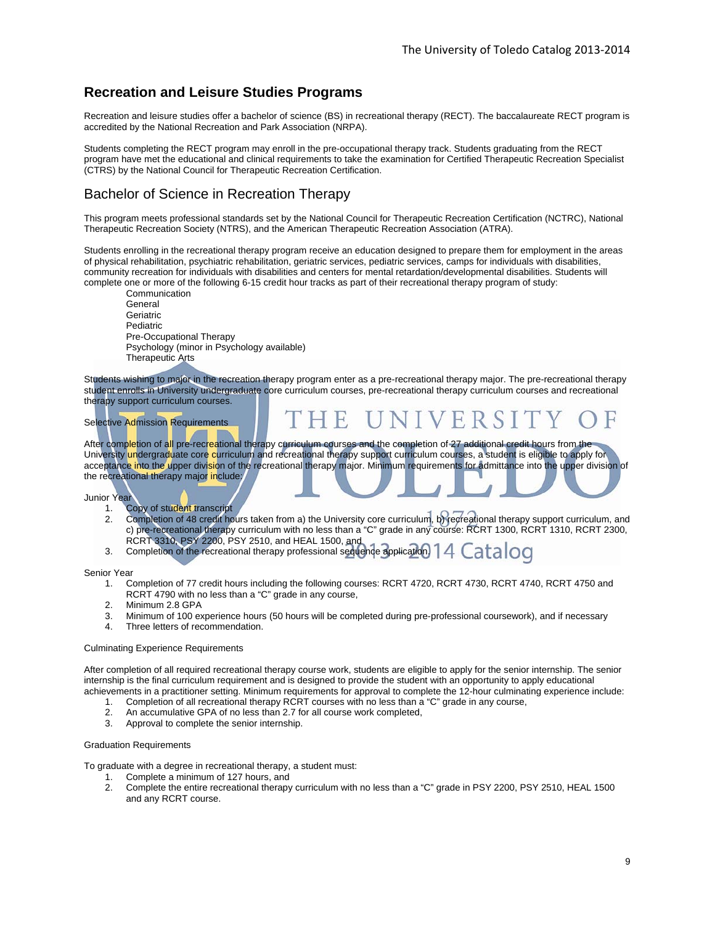### **Recreation and Leisure Studies Programs**

Recreation and leisure studies offer a bachelor of science (BS) in recreational therapy (RECT). The baccalaureate RECT program is accredited by the National Recreation and Park Association (NRPA).

Students completing the RECT program may enroll in the pre-occupational therapy track. Students graduating from the RECT program have met the educational and clinical requirements to take the examination for Certified Therapeutic Recreation Specialist (CTRS) by the National Council for Therapeutic Recreation Certification.

### Bachelor of Science in Recreation Therapy

This program meets professional standards set by the National Council for Therapeutic Recreation Certification (NCTRC), National Therapeutic Recreation Society (NTRS), and the American Therapeutic Recreation Association (ATRA).

Students enrolling in the recreational therapy program receive an education designed to prepare them for employment in the areas of physical rehabilitation, psychiatric rehabilitation, geriatric services, pediatric services, camps for individuals with disabilities, community recreation for individuals with disabilities and centers for mental retardation/developmental disabilities. Students will complete one or more of the following 6-15 credit hour tracks as part of their recreational therapy program of study:

 Communication General **Geriatric**  Pediatric Pre-Occupational Therapy Psychology (minor in Psychology available) Therapeutic Arts

Students wishing to major in the recreation therapy program enter as a pre-recreational therapy major. The pre-recreational therapy student enrolls in University undergraduate core curriculum courses, pre-recreational therapy curriculum courses and recreational therapy support curriculum courses.

F

#### Selective Admission Requirements

After completion of all pre-recreational therapy curriculum courses and the completion of 27 additional credit hours from the University undergraduate core curriculum and recreational therapy support curriculum courses, a student is eligible to apply for acceptance into the upper division of the recreational therapy major. Minimum requirements for admittance into the upper division of the recreational therapy major include:

Junior Year

- 
- 1. Copy of student transcript<br>2. Completion of 48 credit ho 2. Completion of 48 credit hours taken from a) the University core curriculum, b) recreational therapy support curriculum, and c) pre-recreational therapy curriculum with no less than a "C" grade in any course: RCRT 1300, RCRT 1310, RCRT 2300, RCRT 3310, PSY 2200, PSY 2510, and HEAL 1500, and
- 3. Completion of the recreational therapy professional sequence application.  $14$  Catalog

Senior Year

- 1. Completion of 77 credit hours including the following courses: RCRT 4720, RCRT 4730, RCRT 4740, RCRT 4750 and RCRT 4790 with no less than a "C" grade in any course,
- 2. Minimum 2.8 GPA
- 3. Minimum of 100 experience hours (50 hours will be completed during pre-professional coursework), and if necessary
- 4. Three letters of recommendation.

#### Culminating Experience Requirements

After completion of all required recreational therapy course work, students are eligible to apply for the senior internship. The senior internship is the final curriculum requirement and is designed to provide the student with an opportunity to apply educational achievements in a practitioner setting. Minimum requirements for approval to complete the 12-hour culminating experience include:

- 1. Completion of all recreational therapy RCRT courses with no less than a "C" grade in any course,
- 2. An accumulative GPA of no less than 2.7 for all course work completed,
- 3. Approval to complete the senior internship.

#### Graduation Requirements

To graduate with a degree in recreational therapy, a student must:

- 1. Complete a minimum of 127 hours, and
- 2. Complete the entire recreational therapy curriculum with no less than a "C" grade in PSY 2200, PSY 2510, HEAL 1500 and any RCRT course.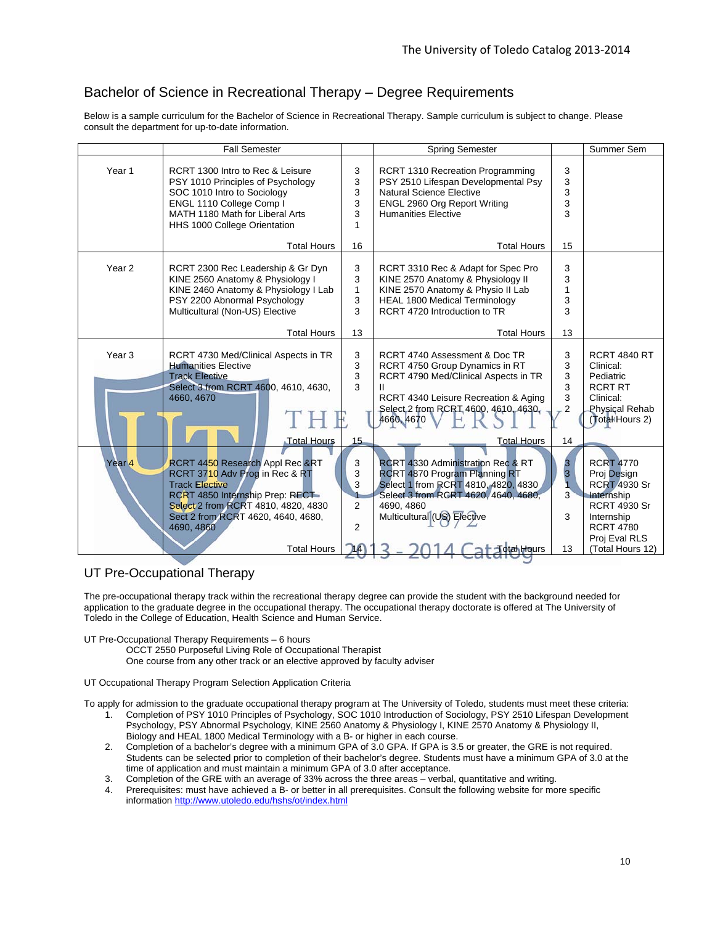### Bachelor of Science in Recreational Therapy – Degree Requirements

Below is a sample curriculum for the Bachelor of Science in Recreational Therapy. Sample curriculum is subject to change. Please consult the department for up-to-date information.

|                   | <b>Fall Semester</b>                                                                                                                                                                                                                            |                                  | <b>Spring Semester</b>                                                                                                                                                                                                           |                                               | Summer Sem                                                                                                                                                         |
|-------------------|-------------------------------------------------------------------------------------------------------------------------------------------------------------------------------------------------------------------------------------------------|----------------------------------|----------------------------------------------------------------------------------------------------------------------------------------------------------------------------------------------------------------------------------|-----------------------------------------------|--------------------------------------------------------------------------------------------------------------------------------------------------------------------|
| Year 1            | RCRT 1300 Intro to Rec & Leisure<br>PSY 1010 Principles of Psychology<br>SOC 1010 Intro to Sociology<br>ENGL 1110 College Comp I<br>MATH 1180 Math for Liberal Arts<br>HHS 1000 College Orientation                                             | 3<br>3<br>3<br>3<br>3<br>1       | <b>RCRT 1310 Recreation Programming</b><br>PSY 2510 Lifespan Developmental Psy<br><b>Natural Science Elective</b><br>ENGL 2960 Org Report Writing<br><b>Humanities Elective</b>                                                  | 3<br>3<br>3<br>3<br>3                         |                                                                                                                                                                    |
|                   | <b>Total Hours</b>                                                                                                                                                                                                                              | 16                               | <b>Total Hours</b>                                                                                                                                                                                                               | 15                                            |                                                                                                                                                                    |
| Year <sub>2</sub> | RCRT 2300 Rec Leadership & Gr Dyn<br>KINE 2560 Anatomy & Physiology I<br>KINE 2460 Anatomy & Physiology I Lab<br>PSY 2200 Abnormal Psychology<br>Multicultural (Non-US) Elective                                                                | 3<br>3<br>$\mathbf{1}$<br>3<br>3 | RCRT 3310 Rec & Adapt for Spec Pro<br>KINE 2570 Anatomy & Physiology II<br>KINE 2570 Anatomy & Physio II Lab<br><b>HEAL 1800 Medical Terminology</b><br>RCRT 4720 Introduction to TR                                             | 3<br>3<br>1<br>3<br>3                         |                                                                                                                                                                    |
|                   | <b>Total Hours</b>                                                                                                                                                                                                                              | 13                               | <b>Total Hours</b>                                                                                                                                                                                                               | 13                                            |                                                                                                                                                                    |
| Year <sub>3</sub> | RCRT 4730 Med/Clinical Aspects in TR<br><b>Humanities Elective</b><br><b>Track Elective</b><br>Select 3 from RCRT 4600, 4610, 4630,<br>4660, 4670<br>Total Hours                                                                                | 3<br>3<br>3<br>3<br>15           | RCRT 4740 Assessment & Doc TR<br>RCRT 4750 Group Dynamics in RT<br>RCRT 4790 Med/Clinical Aspects in TR<br>Ш<br>RCRT 4340 Leisure Recreation & Aging<br>Select 2 from RCRT 4600, 4610, 4630,<br>4660, 4670<br><b>Total Hours</b> | 3<br>3<br>3<br>3<br>3<br>$\overline{2}$<br>14 | <b>RCRT 4840 RT</b><br>Clinical:<br>Pediatric<br><b>RCRT RT</b><br>Clinical:<br>Physical Rehab<br>(Total Hours 2)                                                  |
| Year <sub>4</sub> | RCRT 4450 Research Appl Rec &RT<br>RCRT 3710 Adv Prog in Rec & RT<br><b>Track Elective</b><br>RCRT 4850 Internship Prep: RECT-<br>Select 2 from RCRT 4810, 4820, 4830<br>Sect 2 from RCRT 4620, 4640, 4680,<br>4690, 4860<br><b>Total Hours</b> | 3<br>3<br>3<br>2<br>2<br>714     | <b>RCRT 4330 Administration Rec &amp; RT</b><br>RCRT 4870 Program Planning RT<br>Select 1 from RCRT 4810, 4820, 4830<br>Select 3 from RCRT 4620, 4640, 4680,<br>4690.4860<br>Multicultural (US) Elective<br>T <b>otal Ho</b> urs | $\frac{3}{3}$<br>$3^{\circ}$<br>3<br>13       | <b>RCRT 4770</b><br>Proj Design<br><b>RCRT 4930 Sr</b><br>Internship<br><b>RCRT 4930 Sr</b><br>Internship<br><b>RCRT 4780</b><br>Proj Eval RLS<br>(Total Hours 12) |

### UT Pre-Occupational Therapy

The pre-occupational therapy track within the recreational therapy degree can provide the student with the background needed for application to the graduate degree in the occupational therapy. The occupational therapy doctorate is offered at The University of Toledo in the College of Education, Health Science and Human Service.

UT Pre-Occupational Therapy Requirements – 6 hours

OCCT 2550 Purposeful Living Role of Occupational Therapist

One course from any other track or an elective approved by faculty adviser

UT Occupational Therapy Program Selection Application Criteria

To apply for admission to the graduate occupational therapy program at The University of Toledo, students must meet these criteria:

- 1. Completion of PSY 1010 Principles of Psychology, SOC 1010 Introduction of Sociology, PSY 2510 Lifespan Development Psychology, PSY Abnormal Psychology, KINE 2560 Anatomy & Physiology I, KINE 2570 Anatomy & Physiology II, Biology and HEAL 1800 Medical Terminology with a B- or higher in each course.
- 2. Completion of a bachelor's degree with a minimum GPA of 3.0 GPA. If GPA is 3.5 or greater, the GRE is not required. Students can be selected prior to completion of their bachelor's degree. Students must have a minimum GPA of 3.0 at the time of application and must maintain a minimum GPA of 3.0 after acceptance.
- 3. Completion of the GRE with an average of 33% across the three areas verbal, quantitative and writing.
- 4. Prerequisites: must have achieved a B- or better in all prerequisites. Consult the following website for more specific information http://www.utoledo.edu/hshs/ot/index.html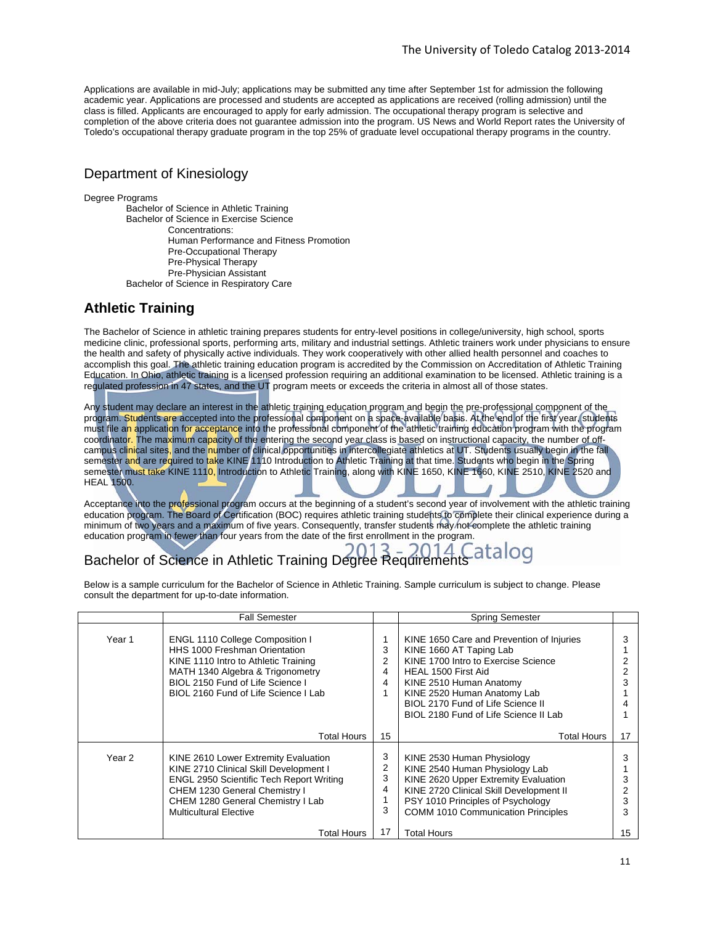Applications are available in mid-July; applications may be submitted any time after September 1st for admission the following academic year. Applications are processed and students are accepted as applications are received (rolling admission) until the class is filled. Applicants are encouraged to apply for early admission. The occupational therapy program is selective and completion of the above criteria does not guarantee admission into the program. US News and World Report rates the University of Toledo's occupational therapy graduate program in the top 25% of graduate level occupational therapy programs in the country.

### Department of Kinesiology

#### Degree Programs

Bachelor of Science in Athletic Training Bachelor of Science in Exercise Science Concentrations: Human Performance and Fitness Promotion Pre-Occupational Therapy Pre-Physical Therapy Pre-Physician Assistant Bachelor of Science in Respiratory Care

### **Athletic Training**

The Bachelor of Science in athletic training prepares students for entry-level positions in college/university, high school, sports medicine clinic, professional sports, performing arts, military and industrial settings. Athletic trainers work under physicians to ensure the health and safety of physically active individuals. They work cooperatively with other allied health personnel and coaches to accomplish this goal. The athletic training education program is accredited by the Commission on Accreditation of Athletic Training Education. In Ohio, athletic training is a licensed profession requiring an additional examination to be licensed. Athletic training is a regulated profession in 47 states, and the UT program meets or exceeds the criteria in almost all of those states.

Any student may declare an interest in the athletic training education program and begin the pre-professional component of the program. Students are accepted into the professional component on a space-available basis. At the end of the first year, students must file an application for acceptance into the professional component of the athletic training education program with the program coordinator. The maximum capacity of the entering the second year class is based on instructional capacity, the number of offcampus clinical sites, and the number of clinical opportunities in intercollegiate athletics at UT. Students usually begin in the fall semester and are required to take KINE 1110 Introduction to Athletic Training at that time. Students who begin in the Spring semester must take KINE 1110, Introduction to Athletic Training, along with KINE 1650, KINE 1660, KINE 2510, KINE 2520 and HEAL 1500.

Acceptance into the professional program occurs at the beginning of a student's second year of involvement with the athletic training education program. The Board of Certification (BOC) requires athletic training students to complete their clinical experience during a minimum of two years and a maximum of five years. Consequently, transfer students may not complete the athletic training education program in fewer than four years from the date of the first enrollment in the program.

# Bachelor of Science in Athletic Training Degree Requirements at alog

Below is a sample curriculum for the Bachelor of Science in Athletic Training. Sample curriculum is subject to change. Please consult the department for up-to-date information.

|        | <b>Fall Semester</b>                                                                                                                                                                                                                     |                               | <b>Spring Semester</b>                                                                                                                                                                                                                                                     |             |
|--------|------------------------------------------------------------------------------------------------------------------------------------------------------------------------------------------------------------------------------------------|-------------------------------|----------------------------------------------------------------------------------------------------------------------------------------------------------------------------------------------------------------------------------------------------------------------------|-------------|
| Year 1 | <b>ENGL 1110 College Composition I</b><br>HHS 1000 Freshman Orientation<br>KINE 1110 Intro to Athletic Training<br>MATH 1340 Algebra & Trigonometry<br>BIOL 2150 Fund of Life Science I<br>BIOL 2160 Fund of Life Science I Lab          | 3<br>$\overline{2}$<br>4<br>4 | KINE 1650 Care and Prevention of Injuries<br>KINE 1660 AT Taping Lab<br>KINE 1700 Intro to Exercise Science<br>HEAL 1500 First Aid<br>KINE 2510 Human Anatomy<br>KINE 2520 Human Anatomy Lab<br>BIOL 2170 Fund of Life Science II<br>BIOL 2180 Fund of Life Science II Lab |             |
|        | Total Hours                                                                                                                                                                                                                              | 15                            | Total Hours                                                                                                                                                                                                                                                                | 17          |
| Year 2 | KINE 2610 Lower Extremity Evaluation<br>KINE 2710 Clinical Skill Development I<br><b>ENGL 2950 Scientific Tech Report Writing</b><br>CHEM 1230 General Chemistry I<br>CHEM 1280 General Chemistry I Lab<br><b>Multicultural Elective</b> | 3<br>2<br>3<br>4<br>3         | KINE 2530 Human Physiology<br>KINE 2540 Human Physiology Lab<br>KINE 2620 Upper Extremity Evaluation<br>KINE 2720 Clinical Skill Development II<br>PSY 1010 Principles of Psychology<br><b>COMM 1010 Communication Principles</b>                                          | 3<br>3<br>3 |
|        | Total Hours                                                                                                                                                                                                                              | 17                            | <b>Total Hours</b>                                                                                                                                                                                                                                                         | 15          |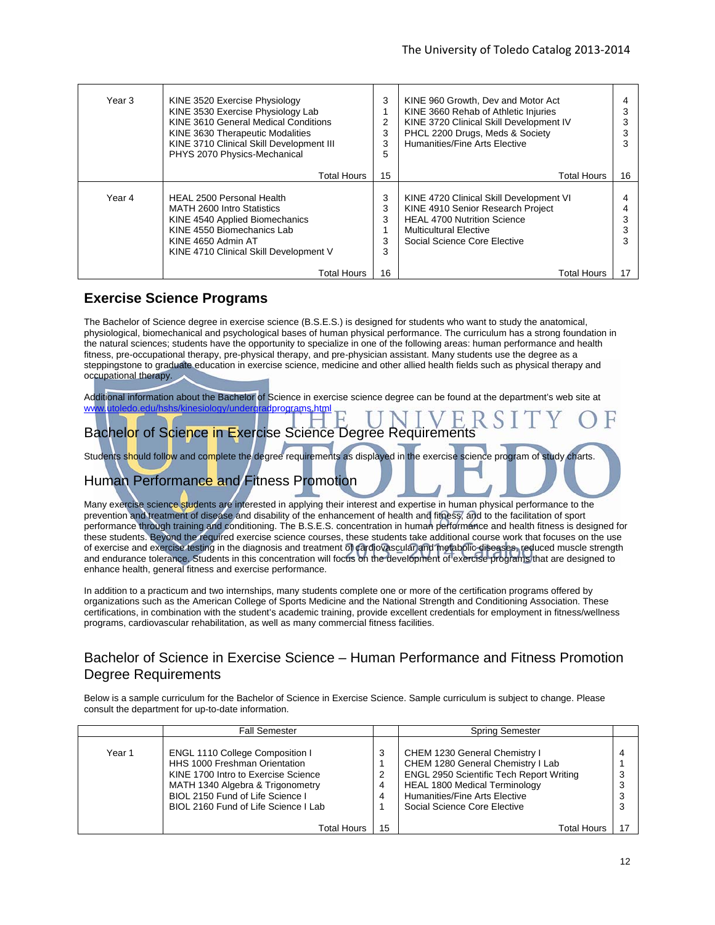| Year 3 | KINE 3520 Exercise Physiology<br>KINE 3530 Exercise Physiology Lab<br>KINE 3610 General Medical Conditions<br>KINE 3630 Therapeutic Modalities<br>KINE 3710 Clinical Skill Development III<br>PHYS 2070 Physics-Mechanical | 3<br>$\overline{2}$<br>3<br>3<br>5 | KINE 960 Growth, Dev and Motor Act<br>KINE 3660 Rehab of Athletic Injuries<br>KINE 3720 Clinical Skill Development IV<br>PHCL 2200 Drugs, Meds & Society<br>Humanities/Fine Arts Elective |    |
|--------|----------------------------------------------------------------------------------------------------------------------------------------------------------------------------------------------------------------------------|------------------------------------|-------------------------------------------------------------------------------------------------------------------------------------------------------------------------------------------|----|
|        | <b>Total Hours</b>                                                                                                                                                                                                         | 15                                 | Total Hours                                                                                                                                                                               | 16 |
| Year 4 | <b>HEAL 2500 Personal Health</b><br>MATH 2600 Intro Statistics<br>KINE 4540 Applied Biomechanics<br>KINE 4550 Biomechanics Lab<br>KINE 4650 Admin AT<br>KINE 4710 Clinical Skill Development V                             | 3<br>3<br>3<br>3<br>3              | KINE 4720 Clinical Skill Development VI<br>KINE 4910 Senior Research Project<br><b>HEAL 4700 Nutrition Science</b><br><b>Multicultural Elective</b><br>Social Science Core Elective       |    |
|        | Total Hours                                                                                                                                                                                                                | 16                                 | Total Hours                                                                                                                                                                               |    |

### **Exercise Science Programs**

The Bachelor of Science degree in exercise science (B.S.E.S.) is designed for students who want to study the anatomical, physiological, biomechanical and psychological bases of human physical performance. The curriculum has a strong foundation in the natural sciences; students have the opportunity to specialize in one of the following areas: human performance and health fitness, pre-occupational therapy, pre-physical therapy, and pre-physician assistant. Many students use the degree as a steppingstone to graduate education in exercise science, medicine and other allied health fields such as physical therapy and occupational therapy.

Additional information about the Bachelor of Science in exercise science degree can be found at the department's web site at www.utoledo.edu/hshs/kinesiology/undergradprograms.html

## Bachelor of Science in Exercise Science Degree Requirements

Students should follow and complete the degree requirements as displayed in the exercise science program of study charts.

### Human Performance and Fitness Promotion

Many exercise science students are interested in applying their interest and expertise in human physical performance to the prevention and treatment of disease and disability of the enhancement of health and fitness, and to the facilitation of sport performance through training and conditioning. The B.S.E.S. concentration in human performance and health fitness is designed for these students. Beyond the required exercise science courses, these students take additional course work that focuses on the use of exercise and exercise testing in the diagnosis and treatment of cardiovascular and metabolic diseases, reduced muscle strength and endurance tolerance. Students in this concentration will focus on the development of exercise programs that are designed to enhance health, general fitness and exercise performance.

In addition to a practicum and two internships, many students complete one or more of the certification programs offered by organizations such as the American College of Sports Medicine and the National Strength and Conditioning Association. These certifications, in combination with the student's academic training, provide excellent credentials for employment in fitness/wellness programs, cardiovascular rehabilitation, as well as many commercial fitness facilities.

### Bachelor of Science in Exercise Science – Human Performance and Fitness Promotion Degree Requirements

Below is a sample curriculum for the Bachelor of Science in Exercise Science. Sample curriculum is subject to change. Please consult the department for up-to-date information.

|        | <b>Fall Semester</b>                                                                                                                                                                                                           |        | <b>Spring Semester</b>                                                                                                                                                                                                         |                       |
|--------|--------------------------------------------------------------------------------------------------------------------------------------------------------------------------------------------------------------------------------|--------|--------------------------------------------------------------------------------------------------------------------------------------------------------------------------------------------------------------------------------|-----------------------|
| Year 1 | <b>ENGL 1110 College Composition I</b><br>HHS 1000 Freshman Orientation<br>KINE 1700 Intro to Exercise Science<br>MATH 1340 Algebra & Trigonometry<br>BIOL 2150 Fund of Life Science I<br>BIOL 2160 Fund of Life Science I Lab | 3<br>4 | CHEM 1230 General Chemistry I<br>CHEM 1280 General Chemistry I Lab<br><b>ENGL 2950 Scientific Tech Report Writing</b><br><b>HEAL 1800 Medical Terminology</b><br>Humanities/Fine Arts Elective<br>Social Science Core Elective | 4<br>3<br>3<br>3<br>3 |
|        | Total Hours                                                                                                                                                                                                                    | 15     | Total Hours                                                                                                                                                                                                                    |                       |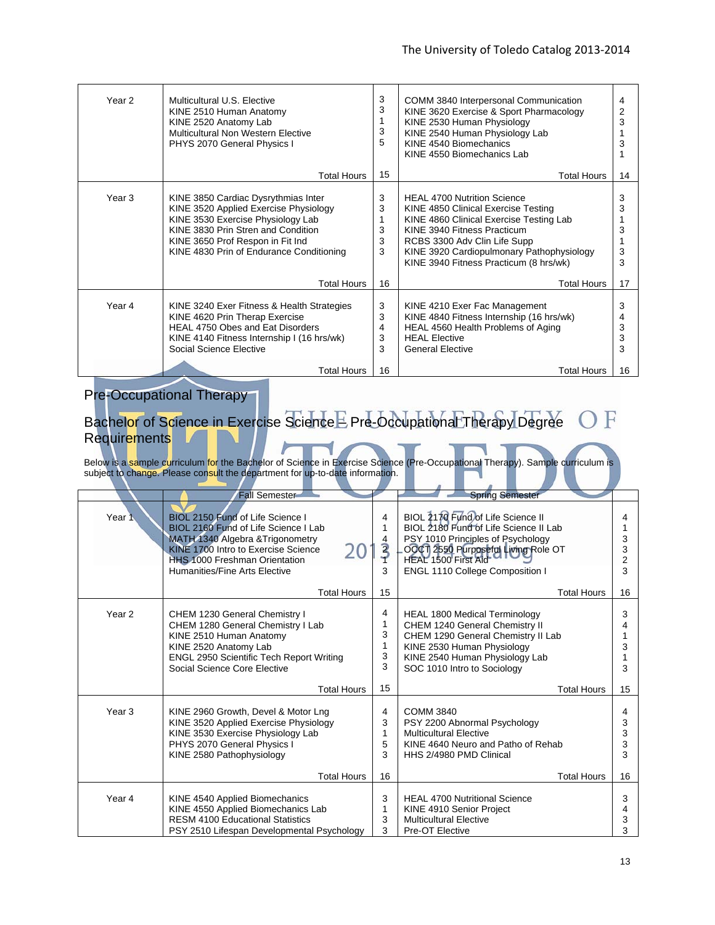| Year 2            | Multicultural U.S. Elective<br>KINE 2510 Human Anatomy<br>KINE 2520 Anatomy Lab<br>Multicultural Non Western Elective<br>PHYS 2070 General Physics I                                                                                    | 3<br>3<br>3<br>5      | COMM 3840 Interpersonal Communication<br>KINE 3620 Exercise & Sport Pharmacology<br>KINE 2530 Human Physiology<br>KINE 2540 Human Physiology Lab<br>KINE 4540 Biomechanics<br>KINE 4550 Biomechanics Lab                                                                   |        |
|-------------------|-----------------------------------------------------------------------------------------------------------------------------------------------------------------------------------------------------------------------------------------|-----------------------|----------------------------------------------------------------------------------------------------------------------------------------------------------------------------------------------------------------------------------------------------------------------------|--------|
|                   | <b>Total Hours</b>                                                                                                                                                                                                                      | 15                    | Total Hours                                                                                                                                                                                                                                                                | 14     |
| Year <sub>3</sub> | KINE 3850 Cardiac Dysrythmias Inter<br>KINE 3520 Applied Exercise Physiology<br>KINE 3530 Exercise Physiology Lab<br>KINE 3830 Prin Stren and Condition<br>KINE 3650 Prof Respon in Fit Ind<br>KINE 4830 Prin of Endurance Conditioning | 3<br>3<br>3<br>3<br>3 | <b>HEAL 4700 Nutrition Science</b><br>KINE 4850 Clinical Exercise Testing<br>KINE 4860 Clinical Exercise Testing Lab<br>KINE 3940 Fitness Practicum<br>RCBS 3300 Adv Clin Life Supp<br>KINE 3920 Cardiopulmonary Pathophysiology<br>KINE 3940 Fitness Practicum (8 hrs/wk) | 3<br>3 |
|                   | <b>Total Hours</b>                                                                                                                                                                                                                      | 16                    | Total Hours                                                                                                                                                                                                                                                                | 17     |
| Year 4            | KINE 3240 Exer Fitness & Health Strategies<br>KINE 4620 Prin Therap Exercise<br>HEAL 4750 Obes and Eat Disorders<br>KINE 4140 Fitness Internship I (16 hrs/wk)<br>Social Science Elective                                               | 3<br>3<br>4<br>3<br>3 | KINE 4210 Exer Fac Management<br>KINE 4840 Fitness Internship (16 hrs/wk)<br>HEAL 4560 Health Problems of Aging<br><b>HEAL Elective</b><br><b>General Elective</b>                                                                                                         |        |
|                   | Total Hours                                                                                                                                                                                                                             | 16                    | <b>Total Hours</b>                                                                                                                                                                                                                                                         | 16     |

### Pre-Occupational Therapy

#### Bachelor of Science in Exercise Science E Pre-Occupational Therapy Degree  $O<sub>F</sub>$ **Requirements**

Below is a sample curriculum for the Bachelor of Science in Exercise Science (Pre-Occupational Therapy). Sample curriculum is subject to change. Please consult the department for up-to-date information.

|                   | Fall Semester                                                                                                                                                                                                                |                            | <b>Spring Semester</b>                                                                                                                                                                                                         |                       |
|-------------------|------------------------------------------------------------------------------------------------------------------------------------------------------------------------------------------------------------------------------|----------------------------|--------------------------------------------------------------------------------------------------------------------------------------------------------------------------------------------------------------------------------|-----------------------|
| Year 1            | BIOL 2150 Fund of Life Science I<br>BIOL 2160 Fund of Life Science I Lab<br>MATH 1340 Algebra & Trigonometry<br>KINE 1700 Intro to Exercise Science<br><b>HHS 1000 Freshman Orientation</b><br>Humanities/Fine Arts Elective | 4<br>1<br>4<br>3<br>3      | BIOL 2170 Fund of Life Science II<br>BIOL 2180 Fund of Life Science II Lab<br>PSY 1010 Principles of Psychology<br>OCCT 2550 Purposeful Living Role OT<br><b>HEAL 1500 First Aid</b><br><b>ENGL 1110 College Composition I</b> | 4<br>3<br>3<br>2<br>3 |
|                   | <b>Total Hours</b>                                                                                                                                                                                                           | 15                         | <b>Total Hours</b>                                                                                                                                                                                                             | 16                    |
| Year <sub>2</sub> | <b>CHEM 1230 General Chemistry I</b><br>CHEM 1280 General Chemistry I Lab<br>KINE 2510 Human Anatomy<br>KINE 2520 Anatomy Lab<br><b>ENGL 2950 Scientific Tech Report Writing</b><br>Social Science Core Elective             | 4<br>1<br>3<br>1<br>3<br>3 | <b>HEAL 1800 Medical Terminology</b><br>CHEM 1240 General Chemistry II<br>CHEM 1290 General Chemistry II Lab<br>KINE 2530 Human Physiology<br>KINE 2540 Human Physiology Lab<br>SOC 1010 Intro to Sociology                    | 3<br>4<br>3<br>3      |
|                   | <b>Total Hours</b>                                                                                                                                                                                                           | 15                         | <b>Total Hours</b>                                                                                                                                                                                                             | 15                    |
| Year <sub>3</sub> | KINE 2960 Growth, Devel & Motor Lng<br>KINE 3520 Applied Exercise Physiology<br>KINE 3530 Exercise Physiology Lab<br>PHYS 2070 General Physics I<br>KINE 2580 Pathophysiology                                                | 4<br>3<br>1<br>5<br>3      | <b>COMM 3840</b><br>PSY 2200 Abnormal Psychology<br><b>Multicultural Elective</b><br>KINE 4640 Neuro and Patho of Rehab<br>HHS 2/4980 PMD Clinical                                                                             | 4<br>3<br>3<br>3<br>3 |
|                   | <b>Total Hours</b>                                                                                                                                                                                                           | 16                         | <b>Total Hours</b>                                                                                                                                                                                                             | 16                    |
| Year 4            | KINE 4540 Applied Biomechanics<br>KINE 4550 Applied Biomechanics Lab<br><b>RESM 4100 Educational Statistics</b><br>PSY 2510 Lifespan Developmental Psychology                                                                | 3<br>1<br>3<br>3           | <b>HEAL 4700 Nutritional Science</b><br>KINE 4910 Senior Project<br><b>Multicultural Elective</b><br><b>Pre-OT Elective</b>                                                                                                    | 3<br>4<br>3<br>3      |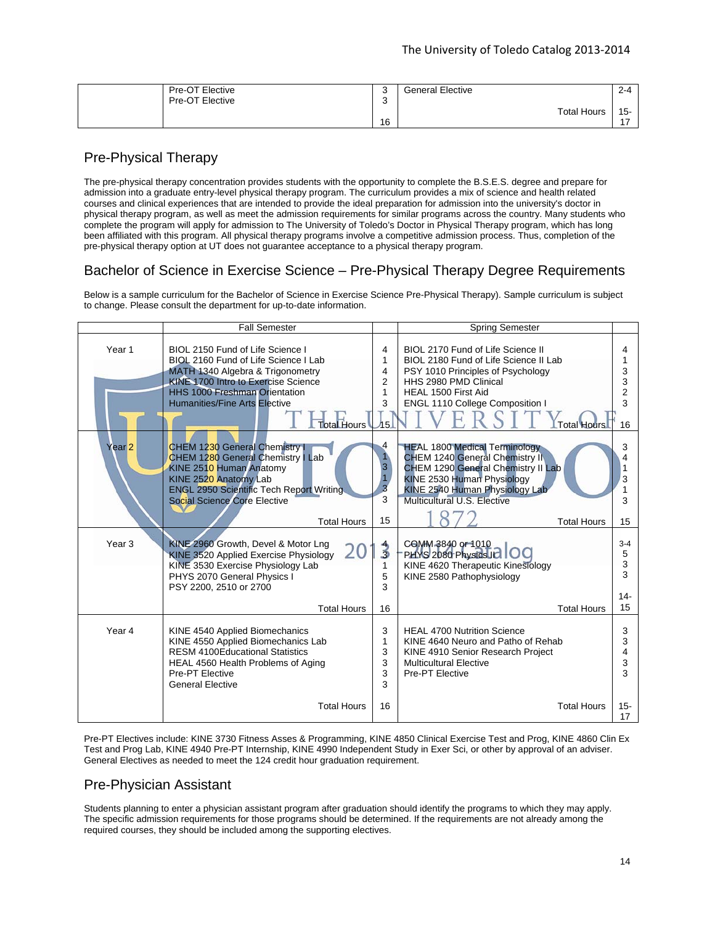| Pre-OT Elective |        | <b>General Elective</b> | 2-4    |
|-----------------|--------|-------------------------|--------|
| Pre-OT Elective | ~<br>ີ |                         |        |
|                 |        | <b>Total Hours</b>      | $15 -$ |
|                 | 16     |                         | . –    |

### Pre-Physical Therapy

The pre-physical therapy concentration provides students with the opportunity to complete the B.S.E.S. degree and prepare for admission into a graduate entry-level physical therapy program. The curriculum provides a mix of science and health related courses and clinical experiences that are intended to provide the ideal preparation for admission into the university's doctor in physical therapy program, as well as meet the admission requirements for similar programs across the country. Many students who complete the program will apply for admission to The University of Toledo's Doctor in Physical Therapy program, which has long been affiliated with this program. All physical therapy programs involve a competitive admission process. Thus, completion of the pre-physical therapy option at UT does not guarantee acceptance to a physical therapy program.

### Bachelor of Science in Exercise Science – Pre-Physical Therapy Degree Requirements

Below is a sample curriculum for the Bachelor of Science in Exercise Science Pre-Physical Therapy). Sample curriculum is subject to change. Please consult the department for up-to-date information.

|                   | <b>Fall Semester</b>                                                                                                                                                                                                                                             |                                                            | <b>Spring Semester</b>                                                                                                                                                                                                                   |                                          |
|-------------------|------------------------------------------------------------------------------------------------------------------------------------------------------------------------------------------------------------------------------------------------------------------|------------------------------------------------------------|------------------------------------------------------------------------------------------------------------------------------------------------------------------------------------------------------------------------------------------|------------------------------------------|
| Year <sub>1</sub> | BIOL 2150 Fund of Life Science I<br>BIOL 2160 Fund of Life Science I Lab<br>MATH 1340 Algebra & Trigonometry<br><b>KINE 1700 Intro to Exercise Science</b><br><b>HHS 1000 Freshman Orientation</b><br><b>Humanities/Fine Arts Elective</b><br><b>Total Hours</b> | 4<br>1<br>4<br>$\overline{2}$<br>1<br>3<br>h <sub>5.</sub> | BIOL 2170 Fund of Life Science II<br>BIOL 2180 Fund of Life Science II Lab<br>PSY 1010 Principles of Psychology<br>HHS 2980 PMD Clinical<br>HEAL 1500 First Aid<br>ENGL 1110 College Composition I<br><b>Total Hours</b>                 | 4<br>3<br>3<br>$\overline{2}$<br>3<br>16 |
| Year <sub>2</sub> | CHEM 1230 General Chemistry I<br>CHEM 1280 General Chemistry I Lab<br>KINE 2510 Human Anatomy<br>KINE 2520 Anatomy Lab<br><b>ENGL 2950 Scientific Tech Report Writing</b><br>Social Science Core Elective<br><b>Total Hours</b>                                  | 4<br>1\<br>$\frac{3}{1}$<br>3<br>3<br>15                   | <b>HEAL 1800 Medical Terminology</b><br><b>CHEM 1240 General Chemistry II</b><br>CHEM 1290 General Chemistry II Lab<br>KINE 2530 Human Physiology<br>KINE 2540 Human Physiology Lab<br>Multicultural U.S. Elective<br><b>Total Hours</b> | 3<br>4<br>1<br>3<br>3<br>15              |
| Year <sub>3</sub> | KINE 2960 Growth, Devel & Motor Lng<br>KINE 3520 Applied Exercise Physiology<br>KINE 3530 Exercise Physiology Lab<br>PHYS 2070 General Physics I<br>PSY 2200, 2510 or 2700<br><b>Total Hours</b>                                                                 | 3<br>1<br>5<br>3<br>16                                     | COMM-3840 or 1010<br>PHYS 2080 Physics II I UU<br>KINE 4620 Therapeutic Kinesiology<br>KINE 2580 Pathophysiology<br><b>Total Hours</b>                                                                                                   | $3 - 4$<br>5<br>3<br>3<br>$14 -$<br>15   |
| Year 4            | KINE 4540 Applied Biomechanics<br>KINE 4550 Applied Biomechanics Lab<br><b>RESM 4100Educational Statistics</b><br>HEAL 4560 Health Problems of Aging<br>Pre-PT Elective<br><b>General Elective</b>                                                               | 3<br>1<br>3<br>3<br>3<br>3                                 | <b>HEAL 4700 Nutrition Science</b><br>KINE 4640 Neuro and Patho of Rehab<br>KINE 4910 Senior Research Project<br><b>Multicultural Elective</b><br><b>Pre-PT Elective</b>                                                                 | 3<br>3<br>4<br>3<br>3                    |
|                   | <b>Total Hours</b>                                                                                                                                                                                                                                               | 16                                                         | <b>Total Hours</b>                                                                                                                                                                                                                       | $15 -$<br>17                             |

Pre-PT Electives include: KINE 3730 Fitness Asses & Programming, KINE 4850 Clinical Exercise Test and Prog, KINE 4860 Clin Ex Test and Prog Lab, KINE 4940 Pre-PT Internship, KINE 4990 Independent Study in Exer Sci, or other by approval of an adviser. General Electives as needed to meet the 124 credit hour graduation requirement.

### Pre-Physician Assistant

Students planning to enter a physician assistant program after graduation should identify the programs to which they may apply. The specific admission requirements for those programs should be determined. If the requirements are not already among the required courses, they should be included among the supporting electives.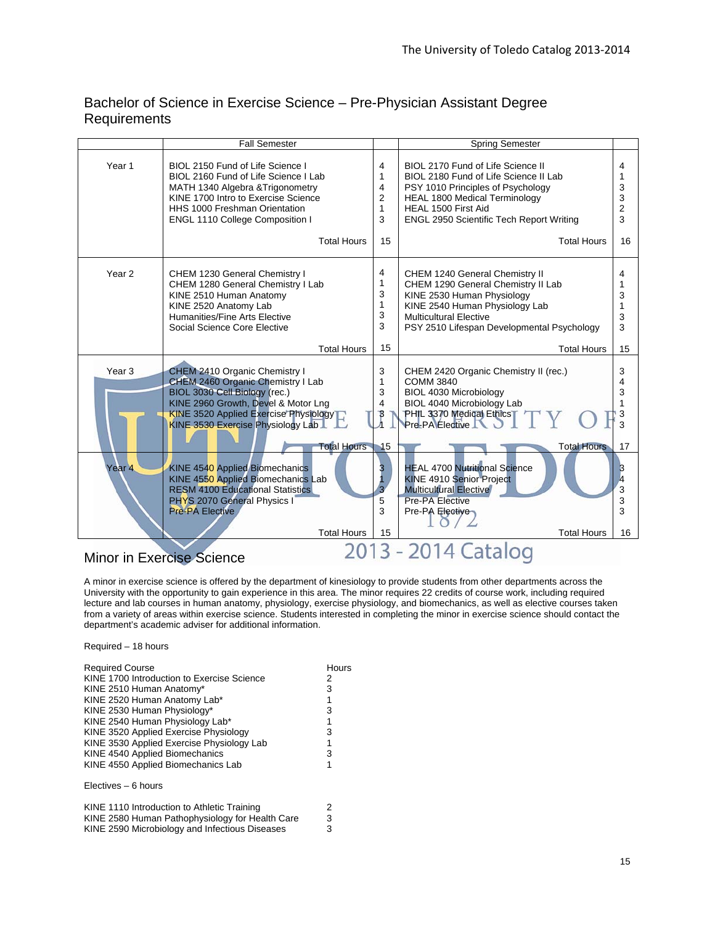|                   | <b>Fall Semester</b>                                                                                                                                                                                                                          |                                               | <b>Spring Semester</b>                                                                                                                                                                                                                                  |                                               |
|-------------------|-----------------------------------------------------------------------------------------------------------------------------------------------------------------------------------------------------------------------------------------------|-----------------------------------------------|---------------------------------------------------------------------------------------------------------------------------------------------------------------------------------------------------------------------------------------------------------|-----------------------------------------------|
| Year <sub>1</sub> | BIOL 2150 Fund of Life Science I<br>BIOL 2160 Fund of Life Science I Lab<br>MATH 1340 Algebra & Trigonometry<br>KINE 1700 Intro to Exercise Science<br>HHS 1000 Freshman Orientation<br>ENGL 1110 College Composition I<br><b>Total Hours</b> | 4<br>1<br>4<br>$\overline{2}$<br>1<br>3<br>15 | BIOL 2170 Fund of Life Science II<br>BIOL 2180 Fund of Life Science II Lab<br>PSY 1010 Principles of Psychology<br><b>HEAL 1800 Medical Terminology</b><br>HEAL 1500 First Aid<br><b>ENGL 2950 Scientific Tech Report Writing</b><br><b>Total Hours</b> | 4<br>1<br>3<br>3<br>$\overline{c}$<br>3<br>16 |
| Year <sub>2</sub> | CHEM 1230 General Chemistry I<br>CHEM 1280 General Chemistry I Lab<br>KINE 2510 Human Anatomy<br>KINE 2520 Anatomy Lab<br>Humanities/Fine Arts Elective<br>Social Science Core Elective                                                       | 4<br>1<br>3<br>1<br>3<br>3                    | <b>CHEM 1240 General Chemistry II</b><br>CHEM 1290 General Chemistry II Lab<br>KINE 2530 Human Physiology<br>KINE 2540 Human Physiology Lab<br><b>Multicultural Elective</b><br>PSY 2510 Lifespan Developmental Psychology                              | 4<br>1<br>3<br>1<br>3<br>3                    |
|                   | <b>Total Hours</b>                                                                                                                                                                                                                            | 15                                            | <b>Total Hours</b>                                                                                                                                                                                                                                      | 15                                            |
| Year <sub>3</sub> | CHEM 2410 Organic Chemistry I<br>CHEM 2460 Organic Chemistry I Lab<br>BIOL 3030 Cell Biology (rec.)<br>KINE 2960 Growth, Devel & Motor Lng<br>KINE 3520 Applied Exercise Physiology<br>KINE 3530 Exercise Physiology Lab                      | 3<br>$\mathbf{1}$<br>3<br>4<br>B              | CHEM 2420 Organic Chemistry II (rec.)<br><b>COMM 3840</b><br>BIOL 4030 Microbiology<br>BIOL 4040 Microbiology Lab<br>PHIL 3370 Medical Ethics<br><b>Pre-PA Elective</b>                                                                                 | 3<br>4<br>3<br>3<br>3                         |
| Year 4            | <b>Total Hours</b><br><b>KINE 4540 Applied Biomechanics</b><br>KINE 4550 Applied Biomechanics Lab<br><b>RESM 4100 Educational Statistics</b><br>PHYS 2070 General Physics I<br><b>Pre-PA Elective</b><br><b>Total Hours</b>                   | $\sqrt{15}$<br>3<br>3<br>5<br>3<br>15         | <b>Total Hours</b><br><b>HEAL 4700 Nutritional Science</b><br>KINE 4910 Senior Project<br><b>Multicultural Elective</b><br><b>Pre-PA Elective</b><br>Pre-PA Elective<br><b>Total Hours</b>                                                              | 17<br>3<br>4<br>3<br>3<br>3<br>16             |
|                   | Minor in Exercise Science                                                                                                                                                                                                                     |                                               | - 2014 Catalog                                                                                                                                                                                                                                          |                                               |

### Bachelor of Science in Exercise Science – Pre-Physician Assistant Degree **Requirements**

### Minor in Exercise Science

A minor in exercise science is offered by the department of kinesiology to provide students from other departments across the University with the opportunity to gain experience in this area. The minor requires 22 credits of course work, including required lecture and lab courses in human anatomy, physiology, exercise physiology, and biomechanics, as well as elective courses taken from a variety of areas within exercise science. Students interested in completing the minor in exercise science should contact the department's academic adviser for additional information.

#### Required – 18 hours

| <b>Required Course</b>                          | <b>Hours</b> |
|-------------------------------------------------|--------------|
| KINE 1700 Introduction to Exercise Science      | 2            |
| KINE 2510 Human Anatomy*                        | 3            |
| KINE 2520 Human Anatomy Lab*                    | 1            |
| KINE 2530 Human Physiology*                     | 3            |
| KINE 2540 Human Physiology Lab*                 |              |
| KINE 3520 Applied Exercise Physiology           | 3            |
| KINE 3530 Applied Exercise Physiology Lab       | 1            |
| KINE 4540 Applied Biomechanics                  | 3            |
| KINE 4550 Applied Biomechanics Lab              | 1            |
| Electives – 6 hours                             |              |
| KINE 1110 Introduction to Athletic Training     | 2            |
| KINE 2580 Human Pathophysiology for Health Care | 3            |
| KINE 2590 Microbiology and Infectious Diseases  | 3            |
|                                                 |              |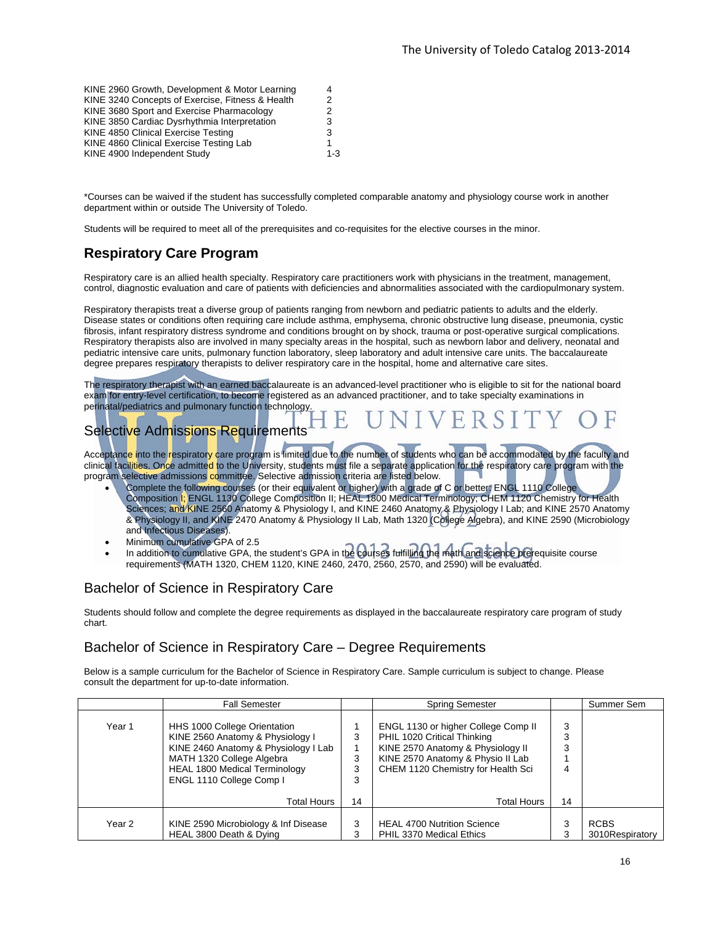ERSIT

| 4       |
|---------|
| 2       |
| 2       |
| 3       |
| 3       |
|         |
| $1 - 3$ |
|         |

\*Courses can be waived if the student has successfully completed comparable anatomy and physiology course work in another department within or outside The University of Toledo.

Students will be required to meet all of the prerequisites and co-requisites for the elective courses in the minor.

### **Respiratory Care Program**

Respiratory care is an allied health specialty. Respiratory care practitioners work with physicians in the treatment, management, control, diagnostic evaluation and care of patients with deficiencies and abnormalities associated with the cardiopulmonary system.

Respiratory therapists treat a diverse group of patients ranging from newborn and pediatric patients to adults and the elderly. Disease states or conditions often requiring care include asthma, emphysema, chronic obstructive lung disease, pneumonia, cystic fibrosis, infant respiratory distress syndrome and conditions brought on by shock, trauma or post-operative surgical complications. Respiratory therapists also are involved in many specialty areas in the hospital, such as newborn labor and delivery, neonatal and pediatric intensive care units, pulmonary function laboratory, sleep laboratory and adult intensive care units. The baccalaureate degree prepares respiratory therapists to deliver respiratory care in the hospital, home and alternative care sites.

The respiratory therapist with an earned baccalaureate is an advanced-level practitioner who is eligible to sit for the national board exam for entry-level certification, to become registered as an advanced practitioner, and to take specialty examinations in perinatal/pediatrics and pulmonary function technology.

# Selective Admissions Requirements

Acceptance into the respiratory care program is limited due to the number of students who can be accommodated by the faculty and clinical facilities. Once admitted to the University, students must file a separate application for the respiratory care program with the program selective admissions committee. Selective admission criteria are listed below.

- Complete the following courses (or their equivalent or higher) with a grade of C or better: ENGL 1110 College Composition I; ENGL 1130 College Composition II; HEAL 1800 Medical Terminology; CHEM 1120 Chemistry for Health Sciences; and KINE 2560 Anatomy & Physiology I, and KINE 2460 Anatomy & Physiology I Lab; and KINE 2570 Anatomy & Physiology II, and KINE 2470 Anatomy & Physiology II Lab, Math 1320 (College Algebra), and KINE 2590 (Microbiology and Infectious Diseases).
- Minimum cumulative GPA of 2.5
- In addition to cumulative GPA, the student's GPA in the courses fulfilling the math and science prerequisite course requirements (MATH 1320, CHEM 1120, KINE 2460, 2470, 2560, 2570, and 2590) will be evaluated.

### Bachelor of Science in Respiratory Care

Students should follow and complete the degree requirements as displayed in the baccalaureate respiratory care program of study chart.

### Bachelor of Science in Respiratory Care – Degree Requirements

Below is a sample curriculum for the Bachelor of Science in Respiratory Care. Sample curriculum is subject to change. Please consult the department for up-to-date information.

|        | <b>Fall Semester</b>                                                                                                                                                                                      |                  | <b>Spring Semester</b>                                                                                                                                                             |                  | Summer Sem                     |
|--------|-----------------------------------------------------------------------------------------------------------------------------------------------------------------------------------------------------------|------------------|------------------------------------------------------------------------------------------------------------------------------------------------------------------------------------|------------------|--------------------------------|
| Year 1 | HHS 1000 College Orientation<br>KINE 2560 Anatomy & Physiology I<br>KINE 2460 Anatomy & Physiology I Lab<br>MATH 1320 College Algebra<br><b>HEAL 1800 Medical Terminology</b><br>ENGL 1110 College Comp I | 3<br>3<br>3<br>3 | ENGL 1130 or higher College Comp II<br>PHIL 1020 Critical Thinking<br>KINE 2570 Anatomy & Physiology II<br>KINE 2570 Anatomy & Physio II Lab<br>CHEM 1120 Chemistry for Health Sci | 3<br>3<br>3<br>4 |                                |
|        | <b>Total Hours</b>                                                                                                                                                                                        | 14               | <b>Total Hours</b>                                                                                                                                                                 | 14               |                                |
| Year 2 | KINE 2590 Microbiology & Inf Disease<br>HEAL 3800 Death & Dying                                                                                                                                           | 3                | <b>HEAL 4700 Nutrition Science</b><br>PHIL 3370 Medical Ethics                                                                                                                     | 3<br>3           | <b>RCBS</b><br>3010Respiratory |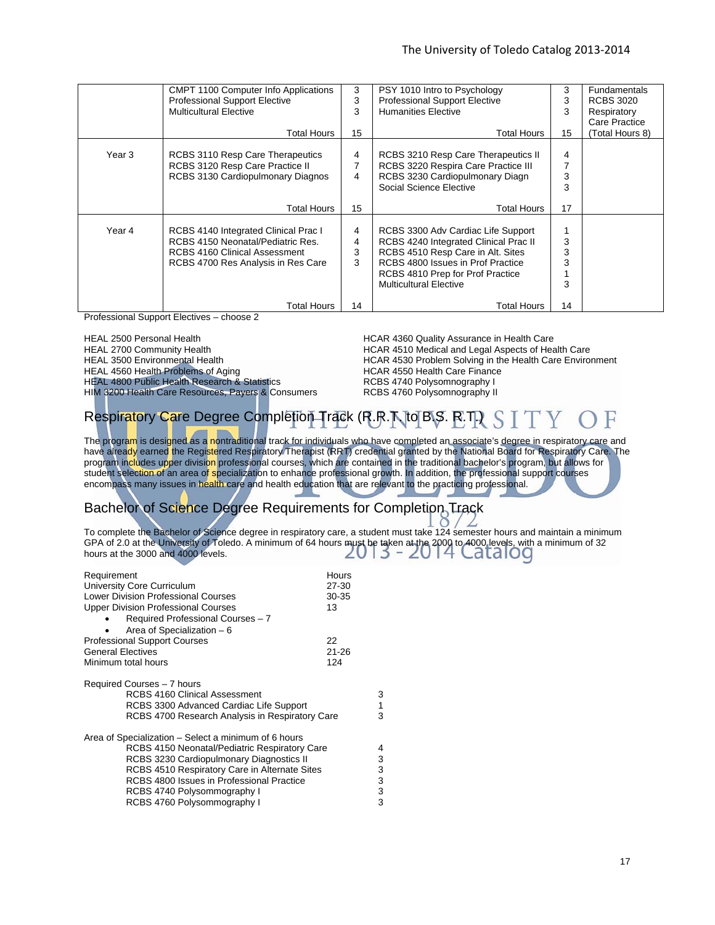|        | <b>CMPT 1100 Computer Info Applications</b> | 3  | PSY 1010 Intro to Psychology          | 3  | <b>Fundamentals</b> |
|--------|---------------------------------------------|----|---------------------------------------|----|---------------------|
|        | <b>Professional Support Elective</b>        | 3  | <b>Professional Support Elective</b>  | 3  | <b>RCBS 3020</b>    |
|        | <b>Multicultural Elective</b>               | 3  | <b>Humanities Elective</b>            | 3  | Respiratory         |
|        |                                             |    |                                       |    | Care Practice       |
|        | <b>Total Hours</b>                          | 15 | <b>Total Hours</b>                    | 15 | (Total Hours 8)     |
|        |                                             |    |                                       |    |                     |
| Year 3 | RCBS 3110 Resp Care Therapeutics            | 4  | RCBS 3210 Resp Care Therapeutics II   | 4  |                     |
|        | RCBS 3120 Resp Care Practice II             |    | RCBS 3220 Respira Care Practice III   |    |                     |
|        | RCBS 3130 Cardiopulmonary Diagnos           | 4  | RCBS 3230 Cardiopulmonary Diagn       | 3  |                     |
|        |                                             |    | Social Science Elective               | 3  |                     |
|        |                                             |    |                                       |    |                     |
|        | <b>Total Hours</b>                          | 15 | <b>Total Hours</b>                    | 17 |                     |
|        |                                             |    |                                       |    |                     |
| Year 4 | RCBS 4140 Integrated Clinical Prac I        | 4  | RCBS 3300 Adv Cardiac Life Support    |    |                     |
|        | RCBS 4150 Neonatal/Pediatric Res.           | 4  | RCBS 4240 Integrated Clinical Prac II | 3  |                     |
|        | <b>RCBS 4160 Clinical Assessment</b>        | 3  | RCBS 4510 Resp Care in Alt. Sites     | 3  |                     |
|        | RCBS 4700 Res Analysis in Res Care          | 3  | RCBS 4800 Issues in Prof Practice     | 3  |                     |
|        |                                             |    | RCBS 4810 Prep for Prof Practice      |    |                     |
|        |                                             |    | <b>Multicultural Elective</b>         | 3  |                     |
|        |                                             |    |                                       |    |                     |
|        | Total Hours                                 | 14 | Total Hours                           | 14 |                     |

Professional Support Electives – choose 2

HEAL 2500 Personal Health Health HEAL 2500 Personal Health Health Health Health Care<br>HCAR 4510 Medical and Legal Aspects of Health HEAL 2700 Community Health HEAL 4560 Health Problems of Aging HEAL 4800 Public Health Research & Statistics **Reading RCBS 4740 Polysomnography I**<br>HIM 3200 Health Care Resources, Payers & Consumers RCBS 4760 Polysomnography II HIM 3200 Health Care Resources, Payers & Consumers

HCAR 4510 Medical and Legal Aspects of Health Care HEAL 3500 Environmental Health Health HCAR 4530 Problem Solving in the Health Care Environment<br>HCAR 4550 Health Hoblems of Aging HCAR 4550 Health Care Finance

# Respiratory Care Degree Completion Track (R.R.T. to B.S. R.T.) S

The progr<mark>am</mark> is desi<mark>g</mark>ned as a nontraditional track for individuals who have completed an associate's degree in respiratory care and have already earned the Registered Respiratory Therapist (RRT) credential granted by the National Board for Respiratory Care. The program includes upper division professional courses, which are contained in the traditional bachelor's program, but allows for student selection of an area of specialization to enhance professional growth. In addition, the professional support courses encompass many issues in health care and health education that are relevant to the practicing professional.

# Bachelor of Science Degree Requirements for Completion Track

To complete the Bachelor of Science degree in respiratory care, a student must take 124 semester hours and maintain a minimum GPA of 2.0 at the University of Toledo. A minimum of 64 hours must be taken at the 2000 to 4000 levels, with a minimum of 32 hours at the 3000 and 4000 levels.

| Requirement<br>University Core Curriculum<br>Lower Division Professional Courses<br><b>Upper Division Professional Courses</b><br>Required Professional Courses - 7<br>Area of Specialization - 6 | Hours<br>27-30<br>$30 - 35$<br>13 |        |
|---------------------------------------------------------------------------------------------------------------------------------------------------------------------------------------------------|-----------------------------------|--------|
| <b>Professional Support Courses</b>                                                                                                                                                               | 22                                |        |
| <b>General Electives</b>                                                                                                                                                                          | $21 - 26$                         |        |
| Minimum total hours                                                                                                                                                                               | 124                               |        |
| Required Courses - 7 hours<br>RCBS 4160 Clinical Assessment<br>RCBS 3300 Advanced Cardiac Life Support<br>RCBS 4700 Research Analysis in Respiratory Care                                         |                                   | 3<br>3 |
| Area of Specialization – Select a minimum of 6 hours                                                                                                                                              |                                   |        |
| RCBS 4150 Neonatal/Pediatric Respiratory Care<br>RCBS 3230 Cardiopulmonary Diagnostics II                                                                                                         |                                   | 4<br>3 |
| RCBS 4510 Respiratory Care in Alternate Sites                                                                                                                                                     |                                   | 3      |
| RCBS 4800 Issues in Professional Practice                                                                                                                                                         |                                   | 3      |
| RCBS 4740 Polysommography I                                                                                                                                                                       |                                   | 3      |
| RCBS 4760 Polysommography I                                                                                                                                                                       |                                   | 3      |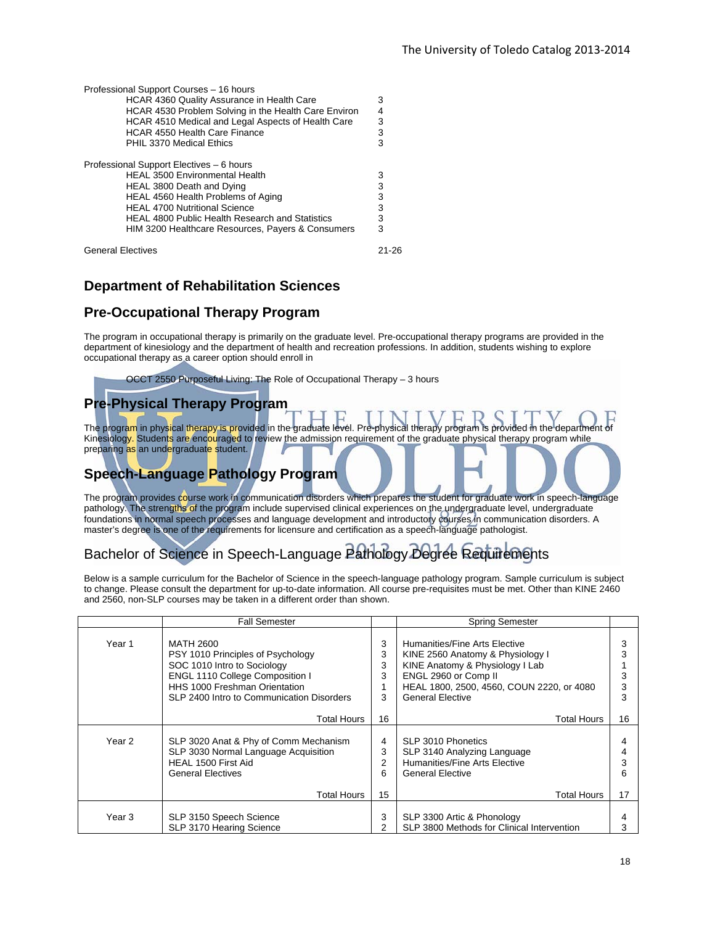| Professional Support Courses - 16 hours                |       |
|--------------------------------------------------------|-------|
| HCAR 4360 Quality Assurance in Health Care             | 3     |
| HCAR 4530 Problem Solving in the Health Care Environ   | 4     |
| HCAR 4510 Medical and Legal Aspects of Health Care     | 3     |
| <b>HCAR 4550 Health Care Finance</b>                   | 3     |
| PHIL 3370 Medical Ethics                               | 3     |
| Professional Support Electives – 6 hours               |       |
| <b>HEAL 3500 Environmental Health</b>                  | 3     |
| HEAL 3800 Death and Dying                              | 3     |
| HEAL 4560 Health Problems of Aging                     | 3     |
| <b>HEAL 4700 Nutritional Science</b>                   | 3     |
| <b>HEAL 4800 Public Health Research and Statistics</b> | 3     |
| HIM 3200 Healthcare Resources, Payers & Consumers      | 3     |
| <b>General Electives</b>                               | 21-26 |

### **Department of Rehabilitation Sciences**

### **Pre-Occupational Therapy Program**

The program in occupational therapy is primarily on the graduate level. Pre-occupational therapy programs are provided in the department of kinesiology and the department of health and recreation professions. In addition, students wishing to explore occupational therapy as a career option should enroll in

OCCT 2550 Purposeful Living: The Role of Occupational Therapy – 3 hours

### **Pre-Physical Therapy Program**

The program in physical therapy is provided in the graduate level. Pre-physical therapy program is provided in the department of Kinesiology. Students are encouraged to review the admission requirement of the graduate physical therapy program while preparing as an undergraduate student.

### **Speech-Language Pathology Program**

The program provides course work in communication disorders which prepares the student for graduate work in speech-language pathology. The strengths of the program include supervised clinical experiences on the undergraduate level, undergraduate foundations in normal speech processes and language development and introductory courses in communication disorders. A master's degree is one of the requirements for licensure and certification as a speech-language pathologist.

### Bachelor of Science in Speech-Language Pathology Degree Requirements

Below is a sample curriculum for the Bachelor of Science in the speech-language pathology program. Sample curriculum is subject to change. Please consult the department for up-to-date information. All course pre-requisites must be met. Other than KINE 2460 and 2560, non-SLP courses may be taken in a different order than shown.

|        | <b>Fall Semester</b>                                                                                                                                                                                  |                       | <b>Spring Semester</b>                                                                                                                                                                               |                       |
|--------|-------------------------------------------------------------------------------------------------------------------------------------------------------------------------------------------------------|-----------------------|------------------------------------------------------------------------------------------------------------------------------------------------------------------------------------------------------|-----------------------|
| Year 1 | MATH 2600<br>PSY 1010 Principles of Psychology<br>SOC 1010 Intro to Sociology<br><b>ENGL 1110 College Composition I</b><br>HHS 1000 Freshman Orientation<br>SLP 2400 Intro to Communication Disorders | 3<br>3<br>3<br>3<br>3 | Humanities/Fine Arts Elective<br>KINE 2560 Anatomy & Physiology I<br>KINE Anatomy & Physiology I Lab<br>ENGL 2960 or Comp II<br>HEAL 1800, 2500, 4560, COUN 2220, or 4080<br><b>General Elective</b> | 3<br>3<br>3<br>3<br>3 |
|        | Total Hours                                                                                                                                                                                           | 16                    | <b>Total Hours</b>                                                                                                                                                                                   | 16                    |
| Year 2 | SLP 3020 Anat & Phy of Comm Mechanism<br>SLP 3030 Normal Language Acquisition<br>HEAL 1500 First Aid<br><b>General Electives</b>                                                                      | 4<br>3<br>2<br>6      | SLP 3010 Phonetics<br>SLP 3140 Analyzing Language<br>Humanities/Fine Arts Elective<br><b>General Elective</b>                                                                                        | 4<br>3<br>6           |
|        | Total Hours                                                                                                                                                                                           | 15                    | <b>Total Hours</b>                                                                                                                                                                                   | 17                    |
| Year 3 | SLP 3150 Speech Science<br>SLP 3170 Hearing Science                                                                                                                                                   | 3                     | SLP 3300 Artic & Phonology<br>SLP 3800 Methods for Clinical Intervention                                                                                                                             | 3                     |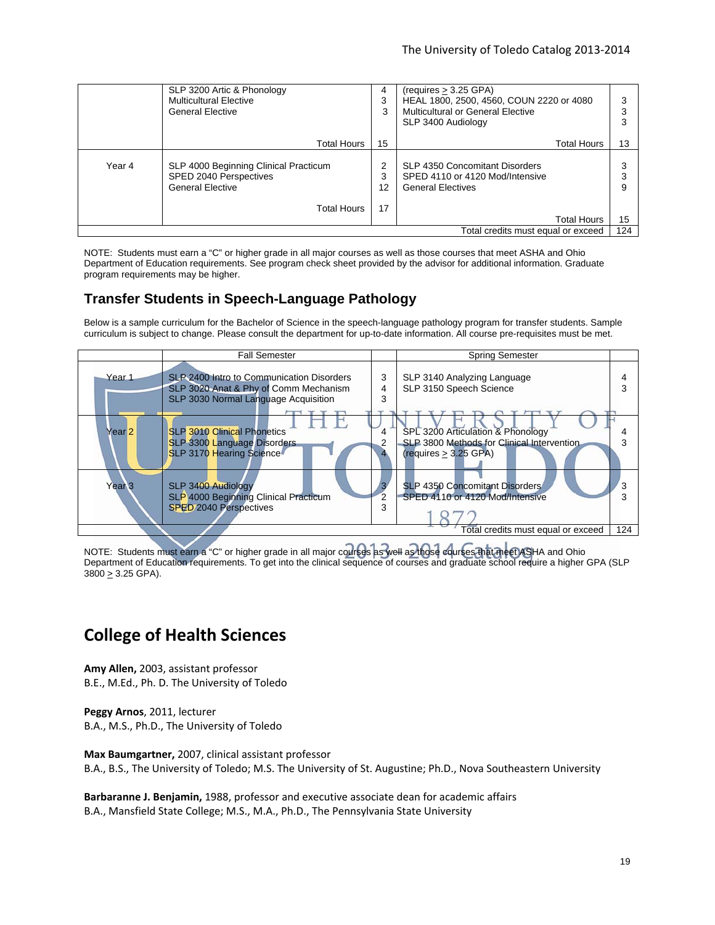|        | SLP 3200 Artic & Phonology<br><b>Multicultural Elective</b><br><b>General Elective</b>                    | 3<br>3        | (requires > 3.25 GPA)<br>HEAL 1800, 2500, 4560, COUN 2220 or 4080<br>Multicultural or General Elective<br>SLP 3400 Audiology |     |
|--------|-----------------------------------------------------------------------------------------------------------|---------------|------------------------------------------------------------------------------------------------------------------------------|-----|
|        | Total Hours                                                                                               | 15            | Total Hours                                                                                                                  | 13  |
| Year 4 | SLP 4000 Beginning Clinical Practicum<br>SPED 2040 Perspectives<br><b>General Elective</b><br>Total Hours | 3<br>12<br>17 | SLP 4350 Concomitant Disorders<br>SPED 4110 or 4120 Mod/Intensive<br><b>General Electives</b>                                |     |
|        |                                                                                                           |               | <b>Total Hours</b>                                                                                                           | 15  |
|        |                                                                                                           |               | Total credits must equal or exceed                                                                                           | 124 |

NOTE: Students must earn a "C" or higher grade in all major courses as well as those courses that meet ASHA and Ohio Department of Education requirements. See program check sheet provided by the advisor for additional information. Graduate program requirements may be higher.

### **Transfer Students in Speech-Language Pathology**

Below is a sample curriculum for the Bachelor of Science in the speech-language pathology program for transfer students. Sample curriculum is subject to change. Please consult the department for up-to-date information. All course pre-requisites must be met.



NOTE: Students must earn a "C" or higher grade in all major courses as well as those courses that meet ASHA and Ohio Department of Education requirements. To get into the clinical sequence of courses and graduate school require a higher GPA (SLP  $3800 \ge 3.25$  GPA).

# **College of Health Sciences**

**Amy Allen,** 2003, assistant professor B.E., M.Ed., Ph. D. The University of Toledo

**Peggy Arnos**, 2011, lecturer B.A., M.S., Ph.D., The University of Toledo

**Max Baumgartner,** 2007, clinical assistant professor B.A., B.S., The University of Toledo; M.S. The University of St. Augustine; Ph.D., Nova Southeastern University

**Barbaranne J. Benjamin,** 1988, professor and executive associate dean for academic affairs B.A., Mansfield State College; M.S., M.A., Ph.D., The Pennsylvania State University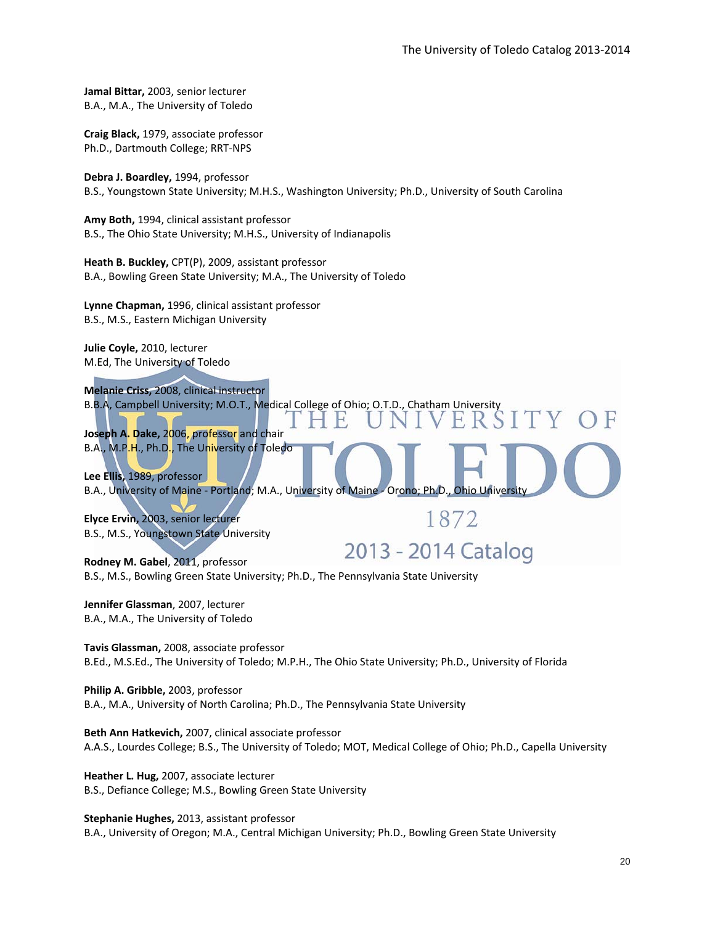**Jamal Bittar,** 2003, senior lecturer B.A., M.A., The University of Toledo

**Craig Black,** 1979, associate professor Ph.D., Dartmouth College; RRT‐NPS

**Debra J. Boardley,** 1994, professor B.S., Youngstown State University; M.H.S., Washington University; Ph.D., University of South Carolina

**Amy Both,** 1994, clinical assistant professor B.S., The Ohio State University; M.H.S., University of Indianapolis

**Heath B. Buckley,** CPT(P), 2009, assistant professor B.A., Bowling Green State University; M.A., The University of Toledo

**Lynne Chapman,** 1996, clinical assistant professor B.S., M.S., Eastern Michigan University

**Julie Coyle,** 2010, lecturer M.Ed, The University of Toledo

**Melanie Criss,** 2008, clinical instructor B.B.A, Campbell University; M.O.T., Medical College of Ohio; O.T.D., Chatham University

**Joseph A. Dake,** 2006, professor and chair B.A., M.P.H., Ph.D., The University of Toledo

**Lee Ellis,** 1989, professor B.A., University of Maine ‐ Portland; M.A., University of Maine ‐ Orono; Ph.D., Ohio University

1872

**Elyce Ervin,** 2003, senior lecturer B.S., M.S., Youngstown State University

2013 - 2014 Catalog **Rodney M. Gabel**, 2011, professor B.S., M.S., Bowling Green State University; Ph.D., The Pennsylvania State University

**Jennifer Glassman**, 2007, lecturer B.A., M.A., The University of Toledo

**Tavis Glassman,** 2008, associate professor B.Ed., M.S.Ed., The University of Toledo; M.P.H., The Ohio State University; Ph.D., University of Florida

**Philip A. Gribble,** 2003, professor B.A., M.A., University of North Carolina; Ph.D., The Pennsylvania State University

**Beth Ann Hatkevich,** 2007, clinical associate professor A.A.S., Lourdes College; B.S., The University of Toledo; MOT, Medical College of Ohio; Ph.D., Capella University

**Heather L. Hug,** 2007, associate lecturer B.S., Defiance College; M.S., Bowling Green State University

**Stephanie Hughes,** 2013, assistant professor B.A., University of Oregon; M.A., Central Michigan University; Ph.D., Bowling Green State University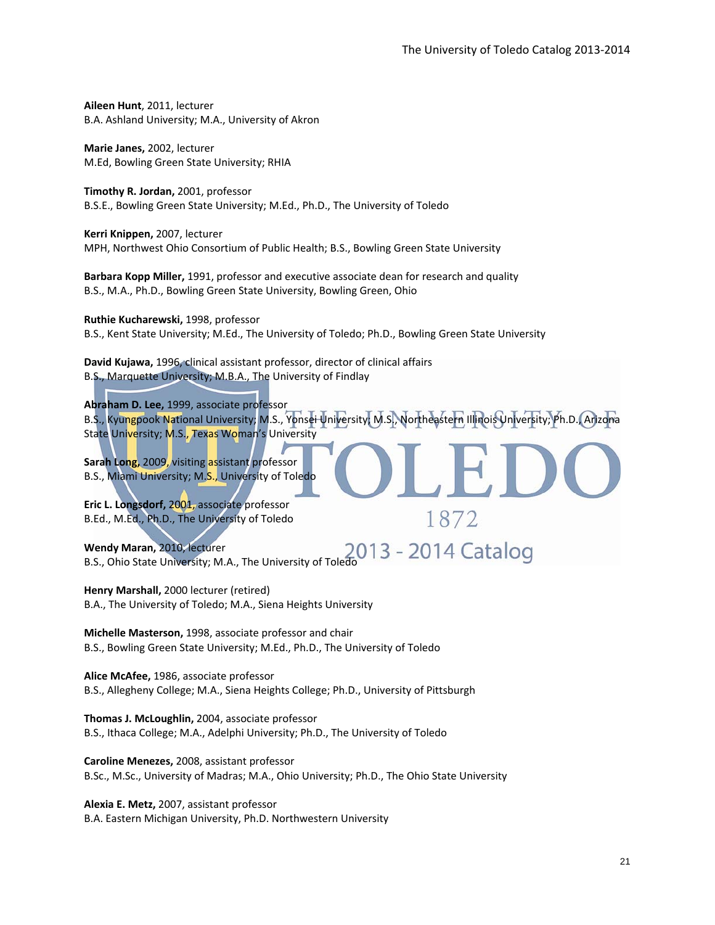**Aileen Hunt**, 2011, lecturer B.A. Ashland University; M.A., University of Akron

**Marie Janes,** 2002, lecturer M.Ed, Bowling Green State University; RHIA

**Timothy R. Jordan,** 2001, professor B.S.E., Bowling Green State University; M.Ed., Ph.D., The University of Toledo

**Kerri Knippen,** 2007, lecturer MPH, Northwest Ohio Consortium of Public Health; B.S., Bowling Green State University

**Barbara Kopp Miller,** 1991, professor and executive associate dean for research and quality B.S., M.A., Ph.D., Bowling Green State University, Bowling Green, Ohio

**Ruthie Kucharewski,** 1998, professor B.S., Kent State University; M.Ed., The University of Toledo; Ph.D., Bowling Green State University

**David Kujawa,** 1996, clinical assistant professor, director of clinical affairs B.S., Marquette University; M.B.A., The University of Findlay

**Abraham D. Lee,** 1999, associate professor B.S., Kyungpook National University; M.S., Yonsei University; M.S., Northeastern Illinois University; Ph.D., Arizona State University; M.S., Texas Woman's University

1872

**Sarah Long,** 2009, visiting assistant professor B.S., Miami University; M.S., University of Toledo

**Eric L. Longsdorf,** 2001, associate professor B.Ed., M.Ed., Ph.D., The University of Toledo

**Wendy Maran,** 2010, lecturer

B.S., Ohio State University; M.A., The University of Toledo

**Henry Marshall,** 2000 lecturer (retired) B.A., The University of Toledo; M.A., Siena Heights University

**Michelle Masterson,** 1998, associate professor and chair B.S., Bowling Green State University; M.Ed., Ph.D., The University of Toledo

**Alice McAfee,** 1986, associate professor B.S., Allegheny College; M.A., Siena Heights College; Ph.D., University of Pittsburgh

**Thomas J. McLoughlin,** 2004, associate professor B.S., Ithaca College; M.A., Adelphi University; Ph.D., The University of Toledo

**Caroline Menezes,** 2008, assistant professor B.Sc., M.Sc., University of Madras; M.A., Ohio University; Ph.D., The Ohio State University

**Alexia E. Metz,** 2007, assistant professor B.A. Eastern Michigan University, Ph.D. Northwestern University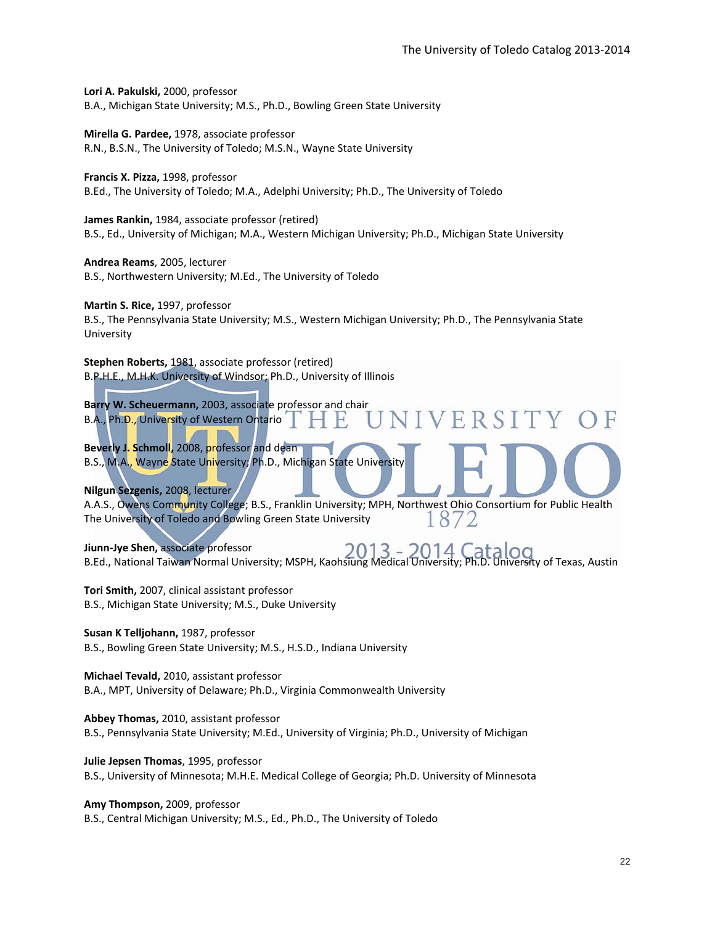**VERSITY** 

**Lori A. Pakulski,** 2000, professor B.A., Michigan State University; M.S., Ph.D., Bowling Green State University

**Mirella G. Pardee,** 1978, associate professor R.N., B.S.N., The University of Toledo; M.S.N., Wayne State University

**Francis X. Pizza,** 1998, professor

B.Ed., The University of Toledo; M.A., Adelphi University; Ph.D., The University of Toledo

**James Rankin,** 1984, associate professor (retired) B.S., Ed., University of Michigan; M.A., Western Michigan University; Ph.D., Michigan State University

**Andrea Reams**, 2005, lecturer B.S., Northwestern University; M.Ed., The University of Toledo

**Martin S. Rice,** 1997, professor

B.S., The Pennsylvania State University; M.S., Western Michigan University; Ph.D., The Pennsylvania State University

**Stephen Roberts,** 1981, associate professor (retired) B.P.H.E., M.H.K. University of Windsor; Ph.D., University of Illinois

**Barry W. Scheuermann,** 2003, associate professor and chair B.A., Ph.D., University of Western Ontario

**Beverly J. Schmoll,** 2008, professor and dean B.S., M.A., Wayne State University; Ph.D., Michigan State University

**Nilgun Sezgenis,** 2008, lecturer

A.A.S., Owens Community College; B.S., Franklin University; MPH, Northwest Ohio Consortium for Public Health The University of Toledo and Bowling Green State University 1872

**Jiunn‐Jye Shen,** associate professor B.Ed., National Taiwan Normal University; MSPH, Kaohsiung Medical University; Ph.D. University of Texas, Austin

**Tori Smith,** 2007, clinical assistant professor B.S., Michigan State University; M.S., Duke University

**Susan K Telljohann,** 1987, professor

B.S., Bowling Green State University; M.S., H.S.D., Indiana University

**Michael Tevald,** 2010, assistant professor B.A., MPT, University of Delaware; Ph.D., Virginia Commonwealth University

**Abbey Thomas,** 2010, assistant professor B.S., Pennsylvania State University; M.Ed., University of Virginia; Ph.D., University of Michigan

**Julie Jepsen Thomas**, 1995, professor B.S., University of Minnesota; M.H.E. Medical College of Georgia; Ph.D. University of Minnesota

**Amy Thompson,** 2009, professor B.S., Central Michigan University; M.S., Ed., Ph.D., The University of Toledo